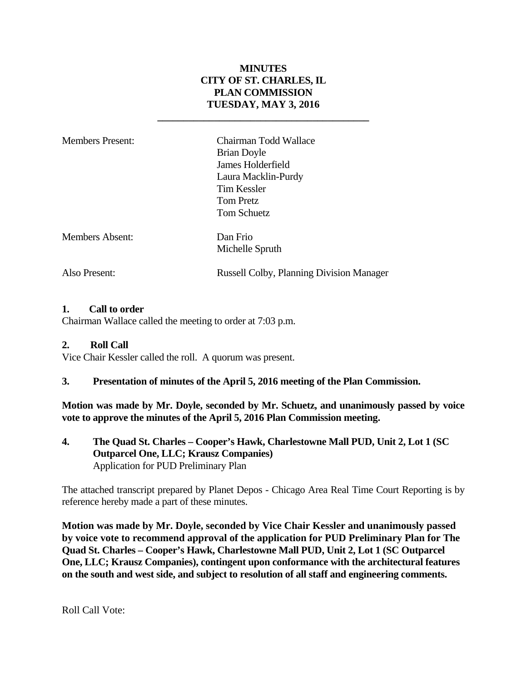### **MINUTES CITY OF ST. CHARLES, IL PLAN COMMISSION TUESDAY, MAY 3, 2016**

**\_\_\_\_\_\_\_\_\_\_\_\_\_\_\_\_\_\_\_\_\_\_\_\_\_\_\_\_\_\_\_\_\_\_\_\_\_\_\_\_\_** 

Members Present: Chairman Todd Wallace Brian Doyle James Holderfield Laura Macklin-Purdy Tim Kessler Tom Pretz Tom Schuetz Members Absent: Dan Frio Michelle Spruth

Also Present: Russell Colby, Planning Division Manager

### **1. Call to order**

Chairman Wallace called the meeting to order at 7:03 p.m.

#### **2. Roll Call**

Vice Chair Kessler called the roll. A quorum was present.

#### **3. Presentation of minutes of the April 5, 2016 meeting of the Plan Commission.**

**Motion was made by Mr. Doyle, seconded by Mr. Schuetz, and unanimously passed by voice vote to approve the minutes of the April 5, 2016 Plan Commission meeting.** 

**4. The Quad St. Charles – Cooper's Hawk, Charlestowne Mall PUD, Unit 2, Lot 1 (SC Outparcel One, LLC; Krausz Companies)**  Application for PUD Preliminary Plan

The attached transcript prepared by Planet Depos - Chicago Area Real Time Court Reporting is by reference hereby made a part of these minutes.

**Motion was made by Mr. Doyle, seconded by Vice Chair Kessler and unanimously passed by voice vote to recommend approval of the application for PUD Preliminary Plan for The Quad St. Charles – Cooper's Hawk, Charlestowne Mall PUD, Unit 2, Lot 1 (SC Outparcel One, LLC; Krausz Companies), contingent upon conformance with the architectural features on the south and west side, and subject to resolution of all staff and engineering comments.** 

Roll Call Vote: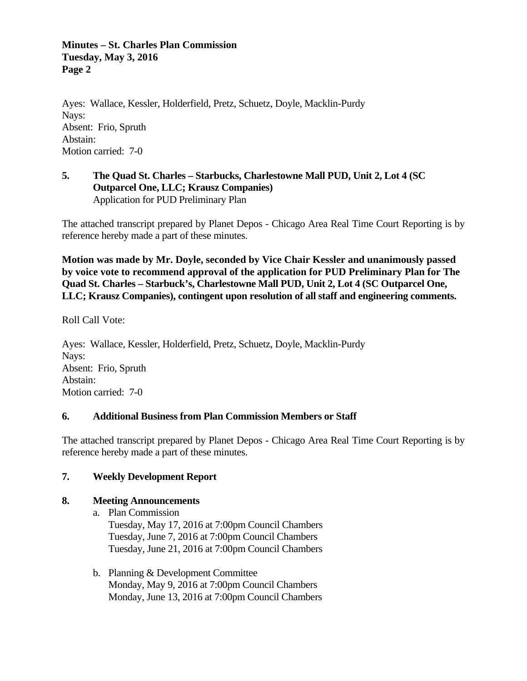#### **Minutes – St. Charles Plan Commission Tuesday, May 3, 2016 Page 2**

Ayes: Wallace, Kessler, Holderfield, Pretz, Schuetz, Doyle, Macklin-Purdy Nays: Absent: Frio, Spruth Abstain: Motion carried: 7-0

### **5. The Quad St. Charles – Starbucks, Charlestowne Mall PUD, Unit 2, Lot 4 (SC Outparcel One, LLC; Krausz Companies)**  Application for PUD Preliminary Plan

The attached transcript prepared by Planet Depos - Chicago Area Real Time Court Reporting is by reference hereby made a part of these minutes.

**Motion was made by Mr. Doyle, seconded by Vice Chair Kessler and unanimously passed by voice vote to recommend approval of the application for PUD Preliminary Plan for The Quad St. Charles – Starbuck's, Charlestowne Mall PUD, Unit 2, Lot 4 (SC Outparcel One, LLC; Krausz Companies), contingent upon resolution of all staff and engineering comments.** 

Roll Call Vote:

Ayes: Wallace, Kessler, Holderfield, Pretz, Schuetz, Doyle, Macklin-Purdy Nays: Absent: Frio, Spruth Abstain: Motion carried: 7-0

### **6. Additional Business from Plan Commission Members or Staff**

The attached transcript prepared by Planet Depos - Chicago Area Real Time Court Reporting is by reference hereby made a part of these minutes.

### **7. Weekly Development Report**

### **8. Meeting Announcements**

- a. Plan Commission Tuesday, May 17, 2016 at 7:00pm Council Chambers Tuesday, June 7, 2016 at 7:00pm Council Chambers Tuesday, June 21, 2016 at 7:00pm Council Chambers
- b. Planning & Development Committee Monday, May 9, 2016 at 7:00pm Council Chambers Monday, June 13, 2016 at 7:00pm Council Chambers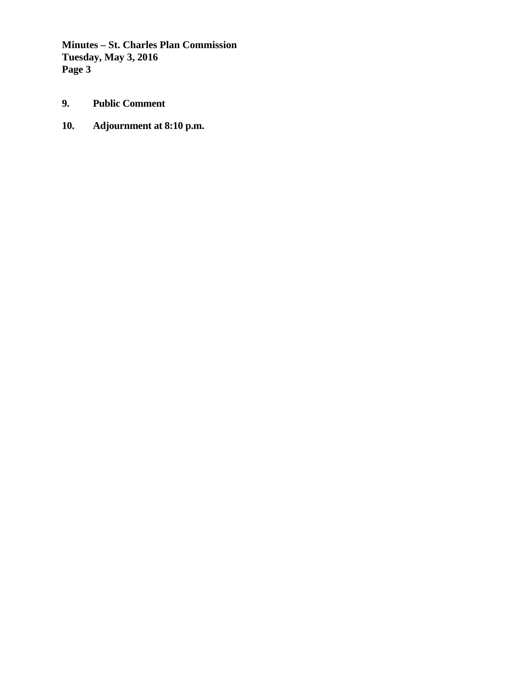**Minutes – St. Charles Plan Commission Tuesday, May 3, 2016 Page 3** 

- **9. Public Comment**
- **10. Adjournment at 8:10 p.m.**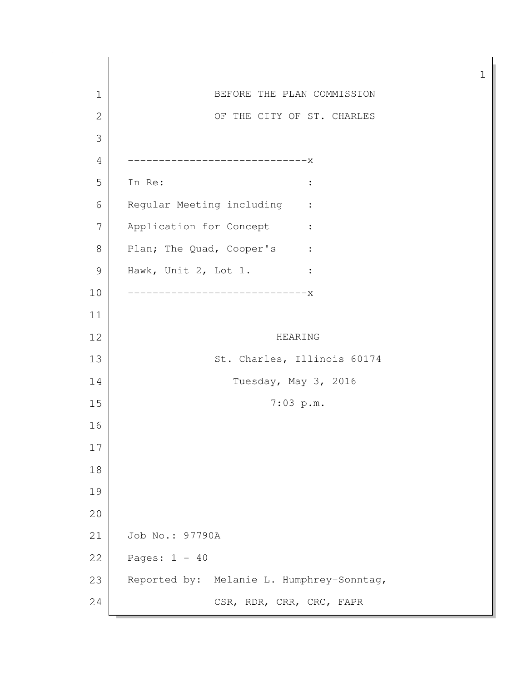1 BEFORE THE PLAN COMMISSION 2 OF THE CITY OF ST. CHARLES 3 4 -----------------------------x 5 In Re: : 6 Regular Meeting including : 7 Application for Concept : 8 Plan; The Quad, Cooper's : 9 Hawk, Unit 2, Lot 1. : 10 -----------------------------x 11 12 HEARING 13 St. Charles, Illinois 60174 14 Tuesday, May 3, 2016 15 7:03 p.m. 16 17 18 19 20 21 Job No.: 97790A 22 Pages: 1 - 40 23 Reported by: Melanie L. Humphrey-Sonntag, 24 CSR, RDR, CRR, CRC, FAPR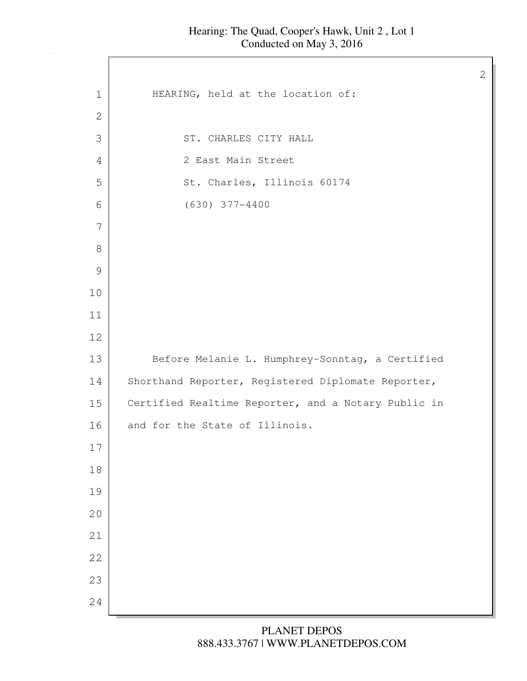$\Gamma$ 

| $\mathbf 1$  | HEARING, held at the location of:                   |
|--------------|-----------------------------------------------------|
| $\mathbf{2}$ |                                                     |
| 3            | ST. CHARLES CITY HALL                               |
| 4            | 2 East Main Street                                  |
| 5            | St. Charles, Illinois 60174                         |
| 6            | $(630)$ 377-4400                                    |
| 7            |                                                     |
| 8            |                                                     |
| 9            |                                                     |
| 10           |                                                     |
| 11           |                                                     |
| 12           |                                                     |
| 13           | Before Melanie L. Humphrey-Sonntag, a Certified     |
| 14           | Shorthand Reporter, Registered Diplomate Reporter,  |
| 15           | Certified Realtime Reporter, and a Notary Public in |
| 16           | and for the State of Illinois.                      |
| 17           |                                                     |
| 18           |                                                     |
| 19           |                                                     |
| 20           |                                                     |
| 21           |                                                     |
| 22           |                                                     |
| 23           |                                                     |
| 24           |                                                     |
|              |                                                     |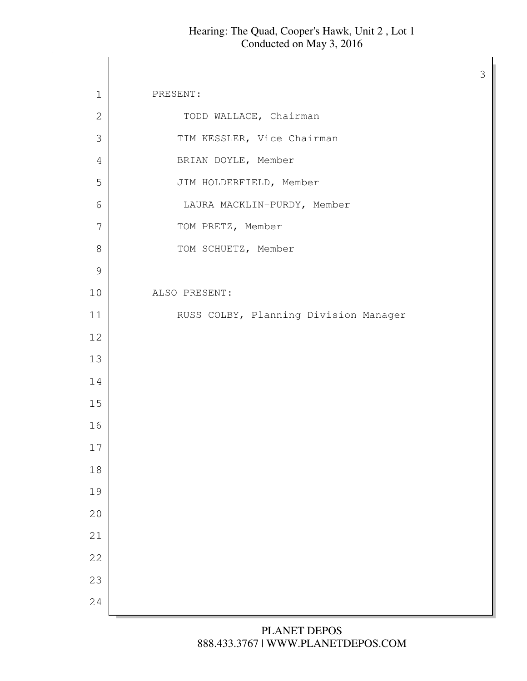$\Gamma$ 

| $\mathbf 1$    | PRESENT:                              |
|----------------|---------------------------------------|
| $\mathbf{2}$   | TODD WALLACE, Chairman                |
| $\mathfrak{Z}$ | TIM KESSLER, Vice Chairman            |
| $\overline{4}$ | BRIAN DOYLE, Member                   |
| 5              | JIM HOLDERFIELD, Member               |
| 6              | LAURA MACKLIN-PURDY, Member           |
| 7              | TOM PRETZ, Member                     |
| $\,8\,$        | TOM SCHUETZ, Member                   |
| $\mathcal{G}$  |                                       |
| 10             | ALSO PRESENT:                         |
| 11             | RUSS COLBY, Planning Division Manager |
| 12             |                                       |
| 13             |                                       |
| 14             |                                       |
| 15             |                                       |
| 16             |                                       |
| $17$           |                                       |
| $18\,$         |                                       |
| 19             |                                       |
| 20             |                                       |
| 21             |                                       |
| 22             |                                       |
| 23             |                                       |
| 24             |                                       |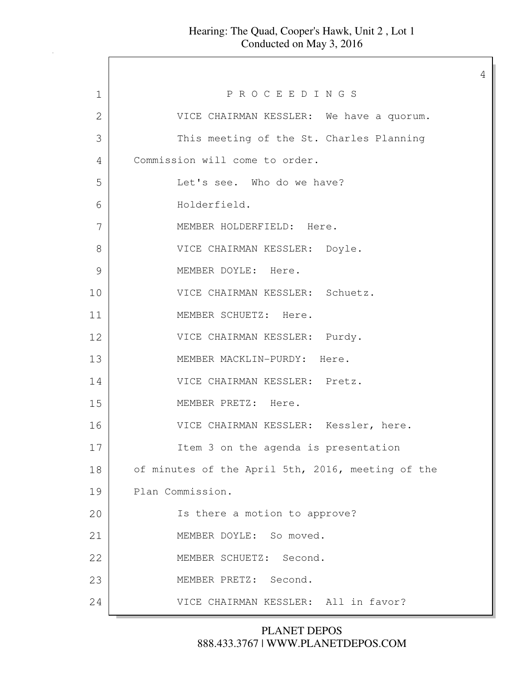4 1 P R O C E E D I N G S 2 VICE CHAIRMAN KESSLER: We have a quorum. 3 This meeting of the St. Charles Planning 4 Commission will come to order. 5 Let's see. Who do we have? 6 Holderfield. 7 MEMBER HOLDERFIELD: Here. 8 VICE CHAIRMAN KESSLER: Doyle. 9 MEMBER DOYLE: Here. 10 VICE CHAIRMAN KESSLER: Schuetz. 11 MEMBER SCHUETZ: Here. 12 VICE CHAIRMAN KESSLER: Purdy. 13 MEMBER MACKLIN-PURDY: Here. 14 VICE CHAIRMAN KESSLER: Pretz. 15 MEMBER PRETZ: Here. 16 VICE CHAIRMAN KESSLER: Kessler, here. 17 Item 3 on the agenda is presentation 18 of minutes of the April 5th, 2016, meeting of the 19 Plan Commission. 20 | Ts there a motion to approve? 21 MEMBER DOYLE: So moved. 22 MEMBER SCHUETZ: Second. 23 MEMBER PRETZ: Second. 24 VICE CHAIRMAN KESSLER: All in favor?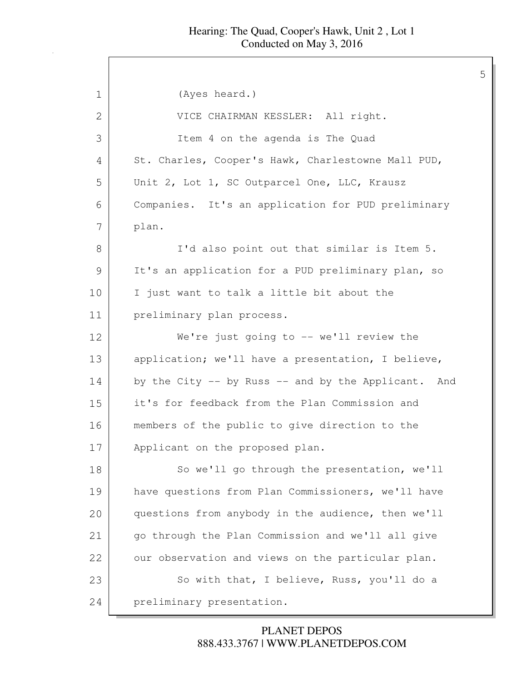5

1 (Ayes heard.) 2 | VICE CHAIRMAN KESSLER: All right. 3 Item 4 on the agenda is The Quad 4 St. Charles, Cooper's Hawk, Charlestowne Mall PUD, 5 Unit 2, Lot 1, SC Outparcel One, LLC, Krausz 6 Companies. It's an application for PUD preliminary 7 plan. 8 I'd also point out that similar is Item 5. 9 It's an application for a PUD preliminary plan, so 10 I just want to talk a little bit about the 11 preliminary plan process. 12 We're just going to -- we'll review the 13 application; we'll have a presentation, I believe, 14 by the City -- by Russ -- and by the Applicant. And 15 it's for feedback from the Plan Commission and 16 members of the public to give direction to the 17 Applicant on the proposed plan. 18 So we'll go through the presentation, we'll 19 have questions from Plan Commissioners, we'll have 20 questions from anybody in the audience, then we'll 21 go through the Plan Commission and we'll all give 22 our observation and views on the particular plan. 23 So with that, I believe, Russ, you'll do a 24 preliminary presentation.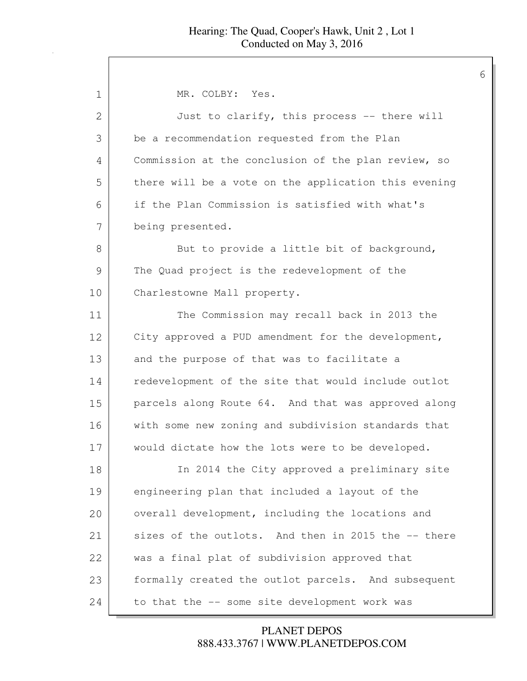| MR. COLBY: Yes.                                      |
|------------------------------------------------------|
| Just to clarify, this process -- there will          |
| be a recommendation requested from the Plan          |
| Commission at the conclusion of the plan review, so  |
| there will be a vote on the application this evening |
| if the Plan Commission is satisfied with what's      |
| being presented.                                     |
| But to provide a little bit of background,           |
| The Quad project is the redevelopment of the         |
| Charlestowne Mall property.                          |
| The Commission may recall back in 2013 the           |
| City approved a PUD amendment for the development,   |
| and the purpose of that was to facilitate a          |
| redevelopment of the site that would include outlot  |
| parcels along Route 64. And that was approved along  |
| with some new zoning and subdivision standards that  |
| would dictate how the lots were to be developed.     |
| In 2014 the City approved a preliminary site         |
| engineering plan that included a layout of the       |
| overall development, including the locations and     |
| sizes of the outlots. And then in 2015 the -- there  |
| was a final plat of subdivision approved that        |
| formally created the outlot parcels. And subsequent  |
| to that the -- some site development work was        |
|                                                      |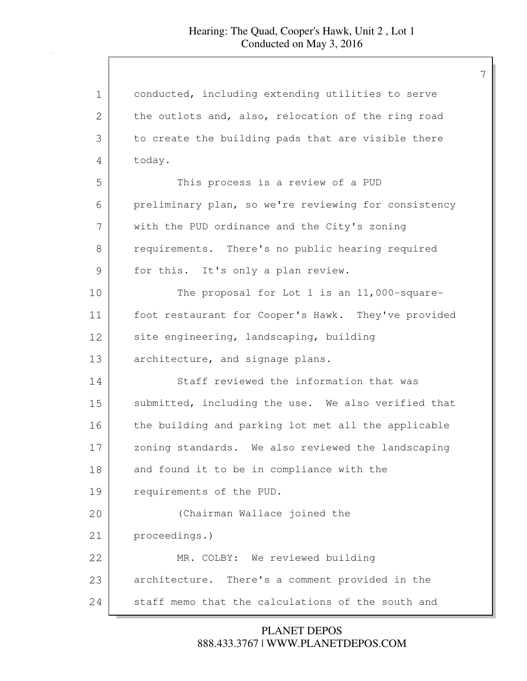| 1  | conducted, including extending utilities to serve    |
|----|------------------------------------------------------|
| 2  | the outlots and, also, relocation of the ring road   |
| 3  | to create the building pads that are visible there   |
| 4  | today.                                               |
| 5  | This process is a review of a PUD                    |
| 6  | preliminary plan, so we're reviewing for consistency |
| 7  | with the PUD ordinance and the City's zoning         |
| 8  | requirements. There's no public hearing required     |
| 9  | for this. It's only a plan review.                   |
| 10 | The proposal for Lot 1 is an 11,000-square-          |
| 11 | foot restaurant for Cooper's Hawk. They've provided  |
| 12 | site engineering, landscaping, building              |
| 13 | architecture, and signage plans.                     |
| 14 | Staff reviewed the information that was              |
| 15 | submitted, including the use. We also verified that  |
| 16 | the building and parking lot met all the applicable  |
| 17 | zoning standards. We also reviewed the landscaping   |
| 18 | and found it to be in compliance with the            |
| 19 | requirements of the PUD.                             |
| 20 | (Chairman Wallace joined the                         |
| 21 | proceedings.)                                        |
| 22 | MR. COLBY: We reviewed building                      |
| 23 | architecture. There's a comment provided in the      |
| 24 | staff memo that the calculations of the south and    |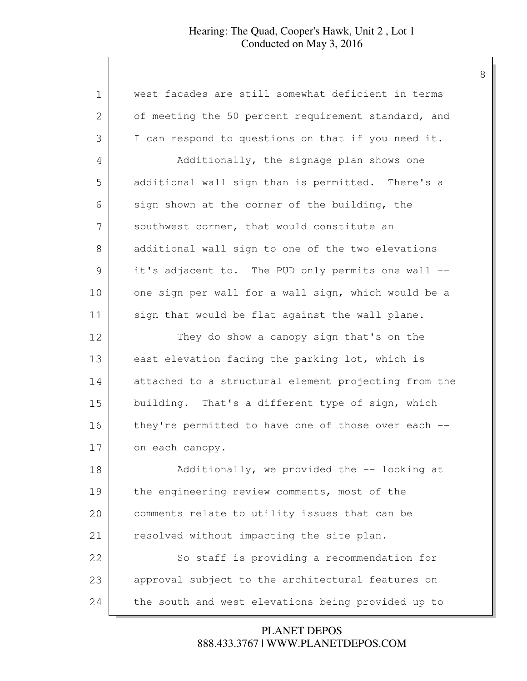| $\mathbf 1$ | west facades are still somewhat deficient in terms   |
|-------------|------------------------------------------------------|
| 2           | of meeting the 50 percent requirement standard, and  |
| 3           | I can respond to questions on that if you need it.   |
| 4           | Additionally, the signage plan shows one             |
| 5           | additional wall sign than is permitted. There's a    |
| 6           | sign shown at the corner of the building, the        |
| 7           | southwest corner, that would constitute an           |
| 8           | additional wall sign to one of the two elevations    |
| 9           | it's adjacent to. The PUD only permits one wall --   |
| 10          | one sign per wall for a wall sign, which would be a  |
| 11          | sign that would be flat against the wall plane.      |
| 12          | They do show a canopy sign that's on the             |
| 13          | east elevation facing the parking lot, which is      |
| 14          | attached to a structural element projecting from the |
| 15          | building. That's a different type of sign, which     |
| 16          | they're permitted to have one of those over each --  |
| 17          | on each canopy.                                      |
| 18          | Additionally, we provided the -- looking at          |
| 19          | the engineering review comments, most of the         |
| 20          | comments relate to utility issues that can be        |
| 21          | resolved without impacting the site plan.            |
| 22          | So staff is providing a recommendation for           |
| 23          | approval subject to the architectural features on    |
| 24          | the south and west elevations being provided up to   |

888.433.3767 | WWW.PLANETDEPOS.COM PLANET DEPOS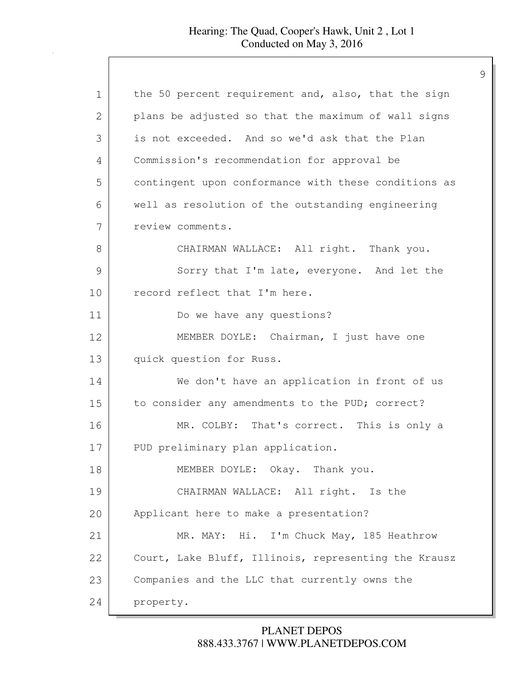| $\mathbf 1$ | the 50 percent requirement and, also, that the sign  |
|-------------|------------------------------------------------------|
| 2           | plans be adjusted so that the maximum of wall signs  |
| 3           | is not exceeded. And so we'd ask that the Plan       |
| 4           | Commission's recommendation for approval be          |
| 5           | contingent upon conformance with these conditions as |
| 6           | well as resolution of the outstanding engineering    |
| 7           | review comments.                                     |
| 8           | CHAIRMAN WALLACE: All right. Thank you.              |
| 9           | Sorry that I'm late, everyone. And let the           |
| 10          | record reflect that I'm here.                        |
| 11          | Do we have any questions?                            |
| 12          | MEMBER DOYLE: Chairman, I just have one              |
| 13          | quick question for Russ.                             |
| 14          | We don't have an application in front of us          |
| 15          | to consider any amendments to the PUD; correct?      |
| 16          | MR. COLBY: That's correct. This is only a            |
| 17          | PUD preliminary plan application.                    |
| 18          | MEMBER DOYLE: Okay. Thank you.                       |
| 19          | CHAIRMAN WALLACE: All right. Is the                  |
| 20          | Applicant here to make a presentation?               |
| 21          | MR. MAY: Hi. I'm Chuck May, 185 Heathrow             |
| 22          | Court, Lake Bluff, Illinois, representing the Krausz |
| 23          | Companies and the LLC that currently owns the        |
| 24          | property.                                            |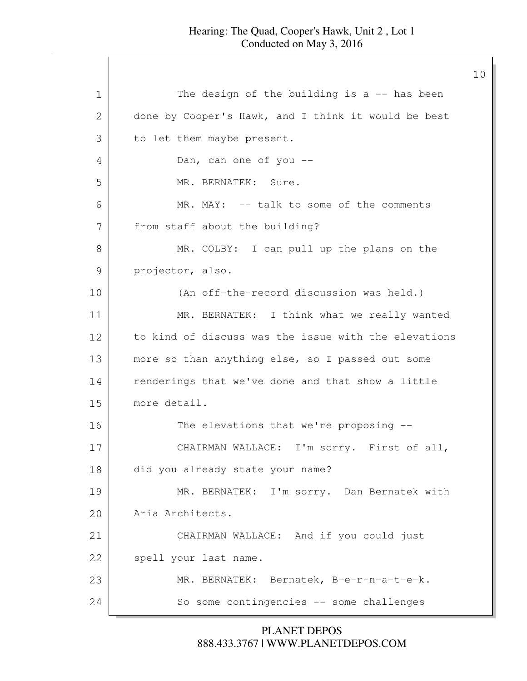10

1 The design of the building is a -- has been 2 done by Cooper's Hawk, and I think it would be best 3 to let them maybe present. 4 Dan, can one of you --5 MR. BERNATEK: Sure. 6 MR. MAY: -- talk to some of the comments 7 from staff about the building? 8 MR. COLBY: I can pull up the plans on the 9 projector, also. 10 (An off-the-record discussion was held.) 11 MR. BERNATEK: I think what we really wanted 12 to kind of discuss was the issue with the elevations 13 more so than anything else, so I passed out some 14 renderings that we've done and that show a little 15 more detail. 16 The elevations that we're proposing --17 CHAIRMAN WALLACE: I'm sorry. First of all, 18 did you already state your name? 19 MR. BERNATEK: I'm sorry. Dan Bernatek with 20 Aria Architects. 21 CHAIRMAN WALLACE: And if you could just 22 | spell your last name. 23 MR. BERNATEK: Bernatek, B-e-r-n-a-t-e-k. 24 So some contingencies -- some challenges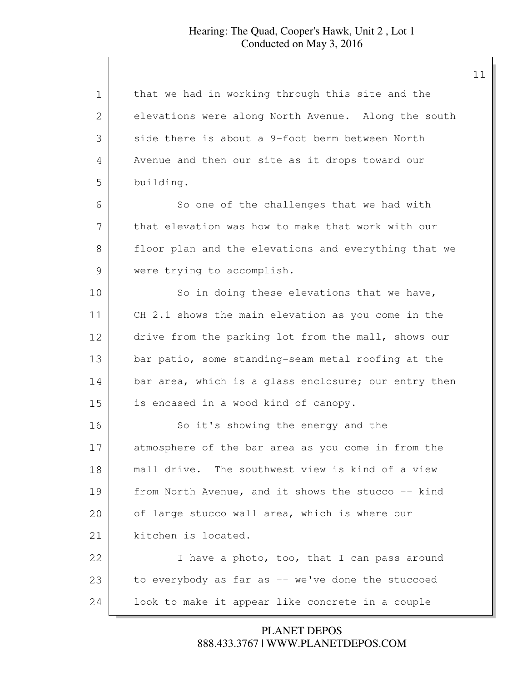| 1  | that we had in working through this site and the     |
|----|------------------------------------------------------|
| 2  | elevations were along North Avenue. Along the south  |
| 3  | side there is about a 9-foot berm between North      |
| 4  | Avenue and then our site as it drops toward our      |
| 5  | building.                                            |
| 6  | So one of the challenges that we had with            |
| 7  | that elevation was how to make that work with our    |
| 8  | floor plan and the elevations and everything that we |
| 9  | were trying to accomplish.                           |
| 10 | So in doing these elevations that we have,           |
| 11 | CH 2.1 shows the main elevation as you come in the   |
| 12 | drive from the parking lot from the mall, shows our  |
| 13 | bar patio, some standing-seam metal roofing at the   |
| 14 | bar area, which is a glass enclosure; our entry then |
| 15 | is encased in a wood kind of canopy.                 |
| 16 | So it's showing the energy and the                   |
| 17 | atmosphere of the bar area as you come in from the   |
| 18 | mall drive. The southwest view is kind of a view     |
| 19 | from North Avenue, and it shows the stucco -- kind   |
| 20 | of large stucco wall area, which is where our        |
| 21 | kitchen is located.                                  |
| 22 | I have a photo, too, that I can pass around          |
| 23 | to everybody as far as -- we've done the stuccoed    |
| 24 | look to make it appear like concrete in a couple     |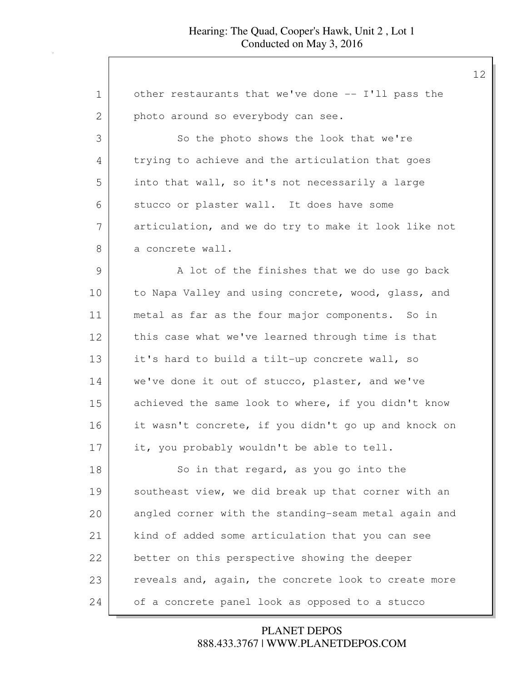| 1             | other restaurants that we've done -- I'll pass the   |
|---------------|------------------------------------------------------|
| 2             | photo around so everybody can see.                   |
| 3             | So the photo shows the look that we're               |
| 4             | trying to achieve and the articulation that goes     |
| 5             | into that wall, so it's not necessarily a large      |
| 6             | stucco or plaster wall. It does have some            |
| 7             | articulation, and we do try to make it look like not |
| 8             | a concrete wall.                                     |
| $\mathcal{G}$ | A lot of the finishes that we do use go back         |
| 10            | to Napa Valley and using concrete, wood, glass, and  |
| 11            | metal as far as the four major components. So in     |
| 12            | this case what we've learned through time is that    |
| 13            | it's hard to build a tilt-up concrete wall, so       |
| 14            | we've done it out of stucco, plaster, and we've      |
| 15            | achieved the same look to where, if you didn't know  |
| 16            | it wasn't concrete, if you didn't go up and knock on |
| 17            | it, you probably wouldn't be able to tell.           |
| 18            | So in that regard, as you go into the                |
| 19            | southeast view, we did break up that corner with an  |
| 20            | angled corner with the standing-seam metal again and |
| 21            | kind of added some articulation that you can see     |
| 22            | better on this perspective showing the deeper        |
| 23            | reveals and, again, the concrete look to create more |
| 24            | of a concrete panel look as opposed to a stucco      |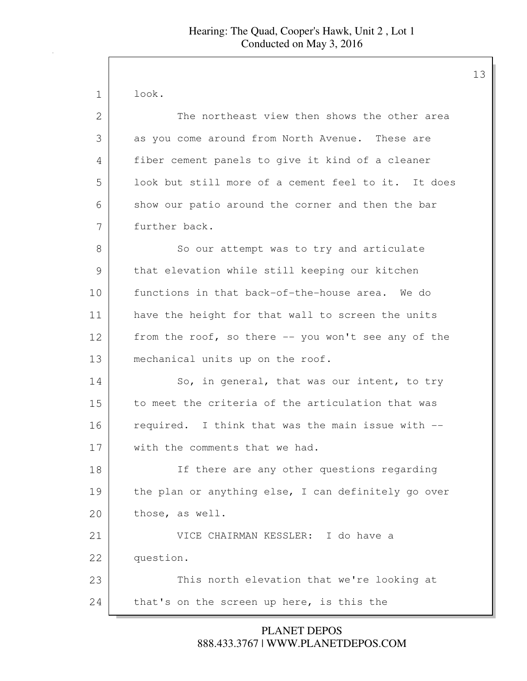1 look. 2 The northeast view then shows the other area 3 as you come around from North Avenue. These are 4 fiber cement panels to give it kind of a cleaner 5 look but still more of a cement feel to it. It does 6 show our patio around the corner and then the bar 7 further back. 8 So our attempt was to try and articulate 9 that elevation while still keeping our kitchen 10 functions in that back-of-the-house area. We do 11 | have the height for that wall to screen the units 12 from the roof, so there -- you won't see any of the 13 mechanical units up on the roof. 14 So, in general, that was our intent, to try 15 to meet the criteria of the articulation that was 16 required. I think that was the main issue with --17 with the comments that we had. 18 If there are any other questions regarding 19 the plan or anything else, I can definitely go over 20 those, as well. 21 VICE CHAIRMAN KESSLER: I do have a 22 question. 23 This north elevation that we're looking at 24 that's on the screen up here, is this the

> 888.433.3767 | WWW.PLANETDEPOS.COM PLANET DEPOS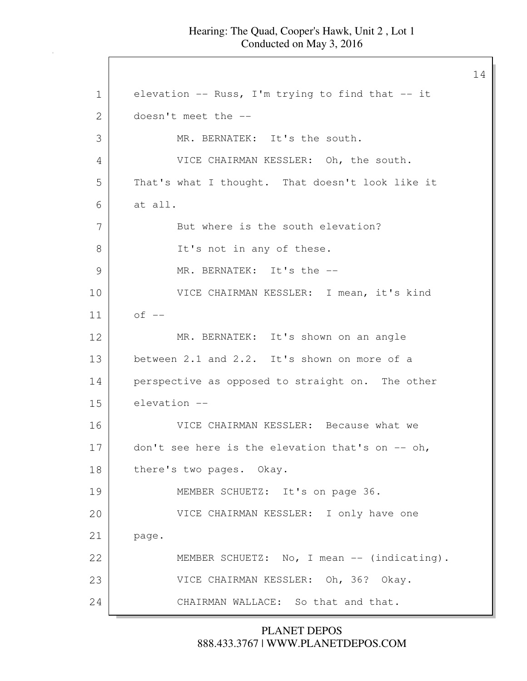14

1 elevation -- Russ, I'm trying to find that -- it 2 doesn't meet the --3 MR. BERNATEK: It's the south. 4 VICE CHAIRMAN KESSLER: Oh, the south. 5 That's what I thought. That doesn't look like it 6 at all. 7 But where is the south elevation? 8 It's not in any of these. 9 MR. BERNATEK: It's the --10 VICE CHAIRMAN KESSLER: I mean, it's kind  $11$  of  $-$ 12 | MR. BERNATEK: It's shown on an angle 13 between 2.1 and 2.2. It's shown on more of a 14 perspective as opposed to straight on. The other 15 elevation -- 16 VICE CHAIRMAN KESSLER: Because what we 17 don't see here is the elevation that's on -- oh, 18 there's two pages. Okay. 19 MEMBER SCHUETZ: It's on page 36. 20 VICE CHAIRMAN KESSLER: I only have one 21 | page. 22 | MEMBER SCHUETZ: No, I mean -- (indicating). 23 VICE CHAIRMAN KESSLER: Oh, 36? Okay. 24 CHAIRMAN WALLACE: So that and that.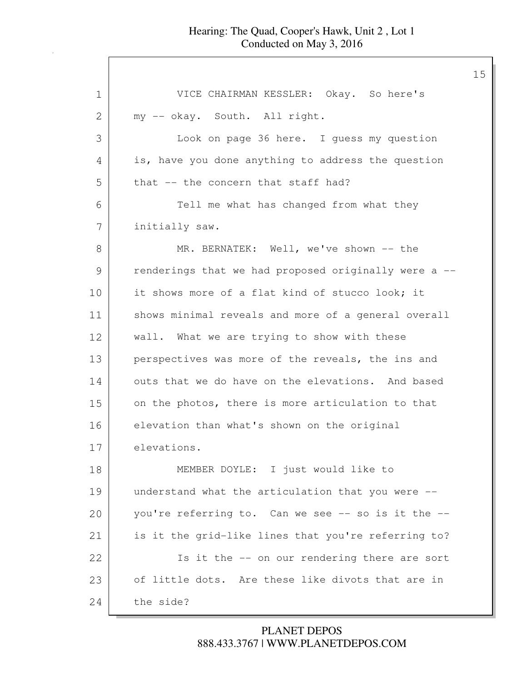| $\mathbf 1$ | VICE CHAIRMAN KESSLER: Okay. So here's               |
|-------------|------------------------------------------------------|
| 2           | my -- okay. South. All right.                        |
| 3           | Look on page 36 here. I guess my question            |
| 4           | is, have you done anything to address the question   |
| 5           | that -- the concern that staff had?                  |
| 6           | Tell me what has changed from what they              |
| 7           | initially saw.                                       |
| 8           | MR. BERNATEK: Well, we've shown -- the               |
| 9           | renderings that we had proposed originally were a -- |
| 10          | it shows more of a flat kind of stucco look; it      |
| 11          | shows minimal reveals and more of a general overall  |
| 12          | wall. What we are trying to show with these          |
| 13          | perspectives was more of the reveals, the ins and    |
| 14          | outs that we do have on the elevations. And based    |
| 15          | on the photos, there is more articulation to that    |
| 16          | elevation than what's shown on the original          |
| 17          | elevations.                                          |
| 18          | MEMBER DOYLE: I just would like to                   |
| 19          | understand what the articulation that you were --    |
| 20          | you're referring to. Can we see -- so is it the --   |
| 21          | is it the grid-like lines that you're referring to?  |
| 22          | Is it the -- on our rendering there are sort         |
| 23          | of little dots. Are these like divots that are in    |
| 24          | the side?                                            |

# 888.433.3767 | WWW.PLANETDEPOS.COM PLANET DEPOS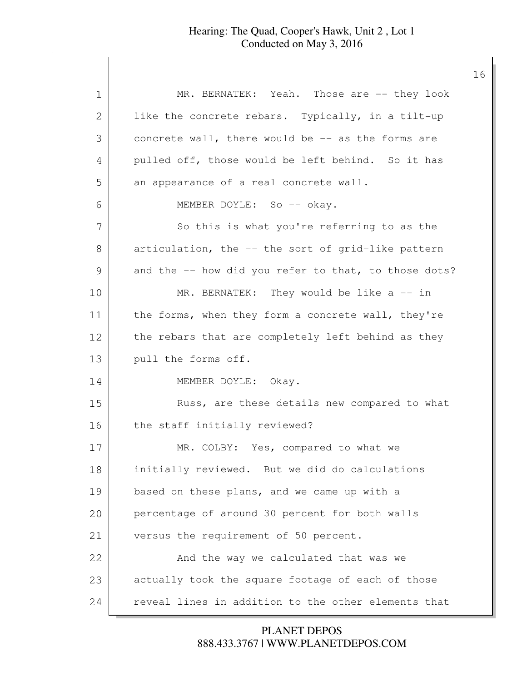| $\mathbf 1$ | MR. BERNATEK: Yeah. Those are -- they look           |
|-------------|------------------------------------------------------|
| 2           | like the concrete rebars. Typically, in a tilt-up    |
| 3           | concrete wall, there would be -- as the forms are    |
| 4           | pulled off, those would be left behind. So it has    |
| 5           | an appearance of a real concrete wall.               |
| 6           | MEMBER DOYLE: So -- okay.                            |
| 7           | So this is what you're referring to as the           |
| 8           | articulation, the -- the sort of grid-like pattern   |
| 9           | and the -- how did you refer to that, to those dots? |
| 10          | MR. BERNATEK: They would be like $a$ -- in           |
| 11          | the forms, when they form a concrete wall, they're   |
| 12          | the rebars that are completely left behind as they   |
| 13          | pull the forms off.                                  |
| 14          | MEMBER DOYLE: Okay.                                  |
| 15          | Russ, are these details new compared to what         |
| 16          | the staff initially reviewed?                        |
| 17          | MR. COLBY: Yes, compared to what we                  |
| 18          | initially reviewed. But we did do calculations       |
| 19          | based on these plans, and we came up with a          |
| 20          | percentage of around 30 percent for both walls       |
| 21          | versus the requirement of 50 percent.                |
| 22          | And the way we calculated that was we                |
| 23          | actually took the square footage of each of those    |
| 24          | reveal lines in addition to the other elements that  |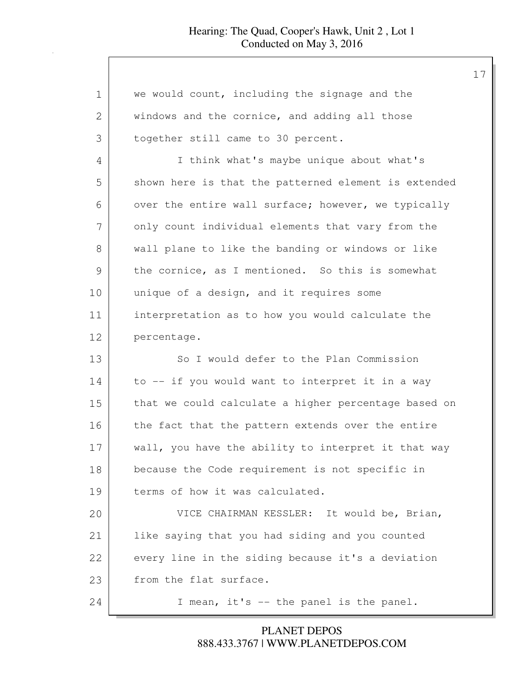| 1  | we would count, including the signage and the        |
|----|------------------------------------------------------|
| 2  | windows and the cornice, and adding all those        |
| 3  | together still came to 30 percent.                   |
| 4  | I think what's maybe unique about what's             |
| 5  | shown here is that the patterned element is extended |
| 6  | over the entire wall surface; however, we typically  |
| 7  | only count individual elements that vary from the    |
| 8  | wall plane to like the banding or windows or like    |
| 9  | the cornice, as I mentioned. So this is somewhat     |
| 10 | unique of a design, and it requires some             |
| 11 | interpretation as to how you would calculate the     |
| 12 | percentage.                                          |
| 13 | So I would defer to the Plan Commission              |
| 14 | to -- if you would want to interpret it in a way     |
| 15 | that we could calculate a higher percentage based on |
| 16 | the fact that the pattern extends over the entire    |
| 17 | wall, you have the ability to interpret it that way  |
| 18 | because the Code requirement is not specific in      |
| 19 | terms of how it was calculated.                      |
| 20 | VICE CHAIRMAN KESSLER: It would be, Brian,           |
| 21 | like saying that you had siding and you counted      |
| 22 | every line in the siding because it's a deviation    |
| 23 | from the flat surface.                               |
| 24 | I mean, it's -- the panel is the panel.              |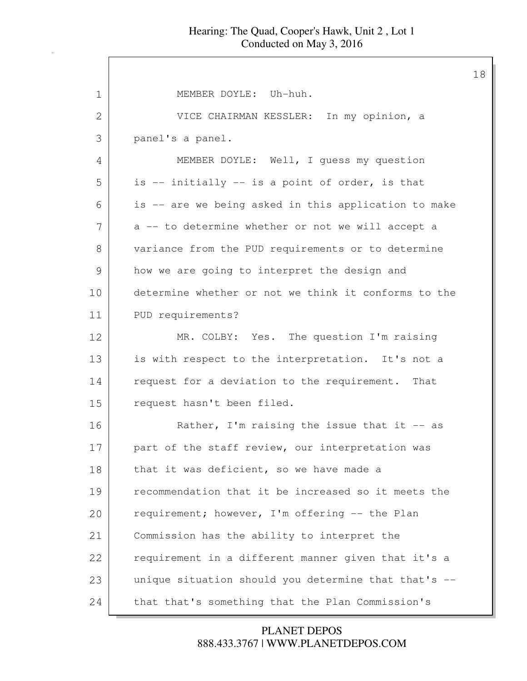| $\mathbf 1$ | MEMBER DOYLE: Uh-huh.                                |
|-------------|------------------------------------------------------|
| 2           | VICE CHAIRMAN KESSLER: In my opinion, a              |
| 3           | panel's a panel.                                     |
| 4           | MEMBER DOYLE: Well, I quess my question              |
| 5           | is -- initially -- is a point of order, is that      |
| 6           | is -- are we being asked in this application to make |
| 7           | a -- to determine whether or not we will accept a    |
| 8           | variance from the PUD requirements or to determine   |
| 9           | how we are going to interpret the design and         |
| 10          | determine whether or not we think it conforms to the |
| 11          | PUD requirements?                                    |
| 12          | MR. COLBY: Yes. The question I'm raising             |
| 13          | is with respect to the interpretation. It's not a    |
| 14          | request for a deviation to the requirement. That     |
| 15          | request hasn't been filed.                           |
| 16          | Rather, I'm raising the issue that it $-$ as         |
| 17          | part of the staff review, our interpretation was     |
| 18          | that it was deficient, so we have made a             |
| 19          | recommendation that it be increased so it meets the  |
| 20          | requirement; however, I'm offering -- the Plan       |
| 21          | Commission has the ability to interpret the          |
| 22          | requirement in a different manner given that it's a  |
| 23          | unique situation should you determine that that's -- |
| 24          | that that's something that the Plan Commission's     |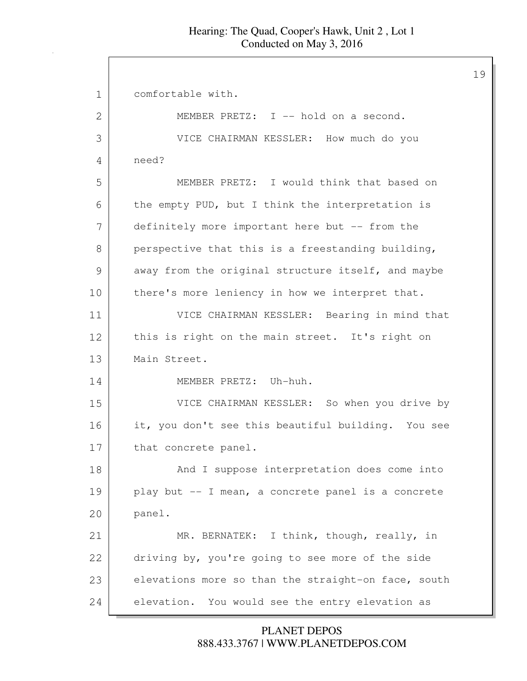| 1  | comfortable with.                                   |
|----|-----------------------------------------------------|
| 2  | MEMBER PRETZ: I -- hold on a second.                |
| 3  | VICE CHAIRMAN KESSLER: How much do you              |
| 4  | need?                                               |
| 5  | MEMBER PRETZ: I would think that based on           |
| 6  | the empty PUD, but I think the interpretation is    |
| 7  | definitely more important here but -- from the      |
| 8  | perspective that this is a freestanding building,   |
| 9  | away from the original structure itself, and maybe  |
| 10 | there's more leniency in how we interpret that.     |
| 11 | VICE CHAIRMAN KESSLER: Bearing in mind that         |
| 12 | this is right on the main street. It's right on     |
| 13 | Main Street.                                        |
| 14 | MEMBER PRETZ: Uh-huh.                               |
| 15 | VICE CHAIRMAN KESSLER: So when you drive by         |
| 16 | it, you don't see this beautiful building. You see  |
| 17 | that concrete panel.                                |
| 18 | And I suppose interpretation does come into         |
| 19 | play but -- I mean, a concrete panel is a concrete  |
| 20 | panel.                                              |
| 21 | MR. BERNATEK: I think, though, really, in           |
| 22 | driving by, you're going to see more of the side    |
| 23 | elevations more so than the straight-on face, south |
| 24 | elevation. You would see the entry elevation as     |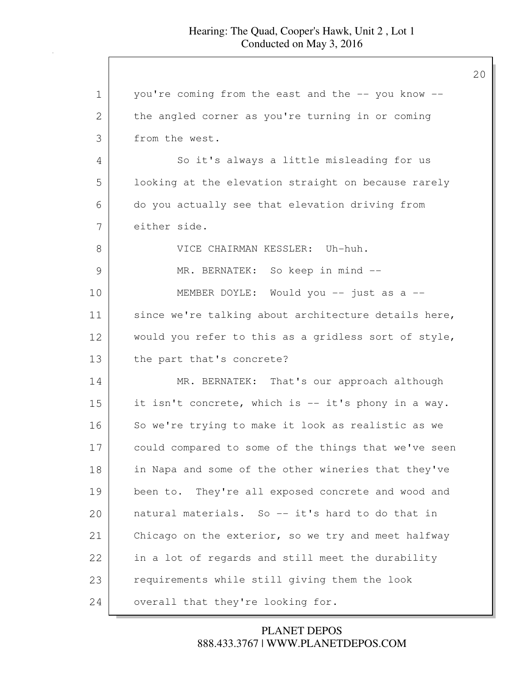| 1  | you're coming from the east and the -- you know --   |
|----|------------------------------------------------------|
| 2  | the angled corner as you're turning in or coming     |
| 3  | from the west.                                       |
| 4  | So it's always a little misleading for us            |
| 5  | looking at the elevation straight on because rarely  |
| 6  | do you actually see that elevation driving from      |
| 7  | either side.                                         |
| 8  | VICE CHAIRMAN KESSLER: Uh-huh.                       |
| 9  | MR. BERNATEK: So keep in mind --                     |
| 10 | MEMBER DOYLE: Would you -- just as a --              |
| 11 | since we're talking about architecture details here, |
| 12 | would you refer to this as a gridless sort of style, |
| 13 | the part that's concrete?                            |
| 14 | MR. BERNATEK: That's our approach although           |
| 15 | it isn't concrete, which is -- it's phony in a way.  |
| 16 | So we're trying to make it look as realistic as we   |
| 17 | could compared to some of the things that we've seen |
| 18 | in Napa and some of the other wineries that they've  |
| 19 | been to. They're all exposed concrete and wood and   |
| 20 | natural materials. So -- it's hard to do that in     |
| 21 | Chicago on the exterior, so we try and meet halfway  |
| 22 | in a lot of regards and still meet the durability    |
| 23 | requirements while still giving them the look        |
| 24 | overall that they're looking for.                    |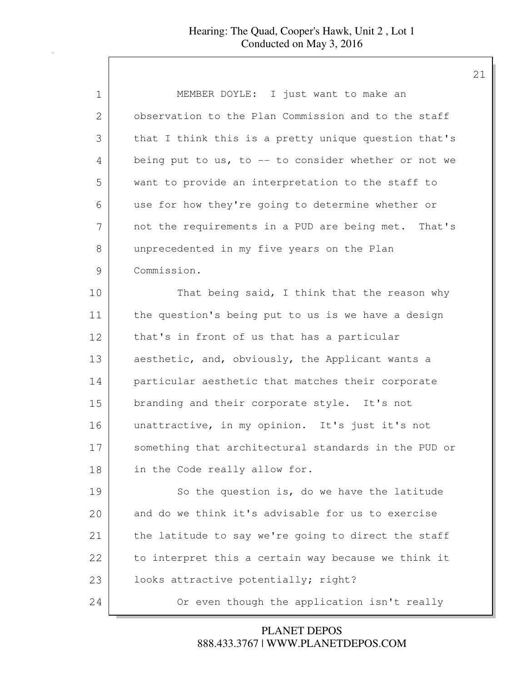| 1  | MEMBER DOYLE: I just want to make an                 |
|----|------------------------------------------------------|
| 2  | observation to the Plan Commission and to the staff  |
| 3  | that I think this is a pretty unique question that's |
| 4  | being put to us, to -- to consider whether or not we |
| 5  | want to provide an interpretation to the staff to    |
| 6  | use for how they're going to determine whether or    |
| 7  | not the requirements in a PUD are being met. That's  |
| 8  | unprecedented in my five years on the Plan           |
| 9  | Commission.                                          |
| 10 | That being said, I think that the reason why         |
| 11 | the question's being put to us is we have a design   |
| 12 | that's in front of us that has a particular          |
| 13 | aesthetic, and, obviously, the Applicant wants a     |
| 14 | particular aesthetic that matches their corporate    |
| 15 | branding and their corporate style. It's not         |
| 16 | unattractive, in my opinion. It's just it's not      |
| 17 | something that architectural standards in the PUD or |
| 18 | in the Code really allow for.                        |
| 19 | So the question is, do we have the latitude          |
| 20 | and do we think it's advisable for us to exercise    |
| 21 | the latitude to say we're going to direct the staff  |
| 22 | to interpret this a certain way because we think it  |
| 23 | looks attractive potentially; right?                 |
| 24 | Or even though the application isn't really          |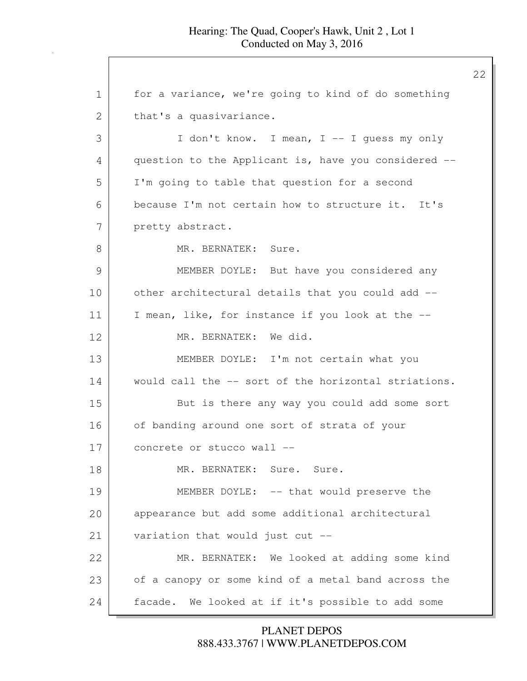1 for a variance, we're going to kind of do something 2 | that's a quasivariance. 3 I don't know. I mean, I -- I guess my only 4 question to the Applicant is, have you considered --5 I'm going to table that question for a second 6 because I'm not certain how to structure it. It's 7 pretty abstract. 8 MR. BERNATEK: Sure. 9 MEMBER DOYLE: But have you considered any 10 other architectural details that you could add --11 I mean, like, for instance if you look at the -- 12 MR. BERNATEK: We did. 13 MEMBER DOYLE: I'm not certain what you 14 would call the -- sort of the horizontal striations. 15 But is there any way you could add some sort 16 of banding around one sort of strata of your 17 concrete or stucco wall --18 MR. BERNATEK: Sure. Sure. 19 MEMBER DOYLE: -- that would preserve the 20 appearance but add some additional architectural 21 variation that would just cut -- 22 MR. BERNATEK: We looked at adding some kind 23 of a canopy or some kind of a metal band across the 24 facade. We looked at if it's possible to add some

## 888.433.3767 | WWW.PLANETDEPOS.COM PLANET DEPOS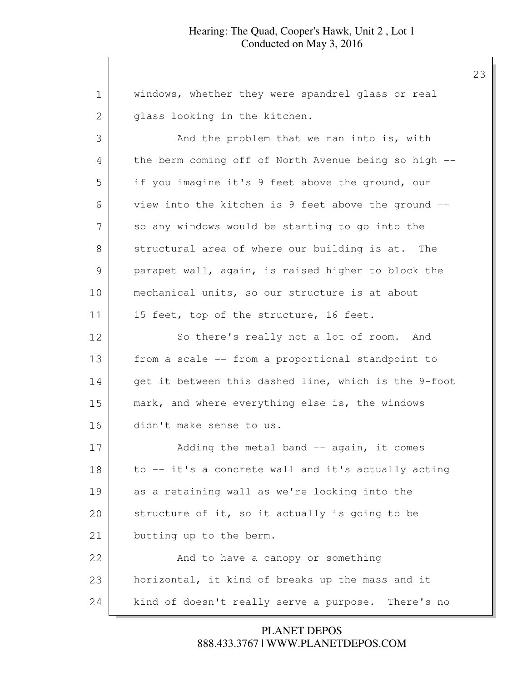| 1             | windows, whether they were spandrel glass or real     |
|---------------|-------------------------------------------------------|
| 2             | glass looking in the kitchen.                         |
| 3             | And the problem that we ran into is, with             |
| 4             | the berm coming off of North Avenue being so high --  |
| 5             | if you imagine it's 9 feet above the ground, our      |
| 6             | view into the kitchen is 9 feet above the ground --   |
| 7             | so any windows would be starting to go into the       |
| 8             | structural area of where our building is at. The      |
| $\mathcal{G}$ | parapet wall, again, is raised higher to block the    |
| 10            | mechanical units, so our structure is at about        |
| 11            | 15 feet, top of the structure, 16 feet.               |
| 12            | So there's really not a lot of room. And              |
| 13            | from a scale -- from a proportional standpoint to     |
| 14            | get it between this dashed line, which is the 9-foot  |
| 15            | mark, and where everything else is, the windows       |
| 16            | didn't make sense to us.                              |
| 17            | Adding the metal band -- again, it comes              |
| 18            | to -- it's a concrete wall and it's actually acting   |
| 19            | as a retaining wall as we're looking into the         |
| 20            | structure of it, so it actually is going to be        |
| 21            | butting up to the berm.                               |
| 22            | And to have a canopy or something                     |
| 23            | horizontal, it kind of breaks up the mass and it      |
| 24            | kind of doesn't really serve a purpose.<br>There's no |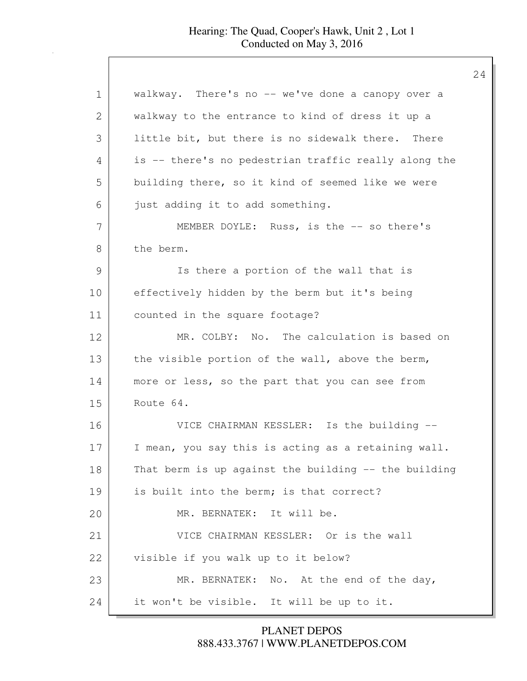| 1             | walkway. There's no -- we've done a canopy over a    |
|---------------|------------------------------------------------------|
| 2             | walkway to the entrance to kind of dress it up a     |
| 3             | little bit, but there is no sidewalk there. There    |
| 4             | is -- there's no pedestrian traffic really along the |
| 5             | building there, so it kind of seemed like we were    |
| 6             | just adding it to add something.                     |
| 7             | MEMBER DOYLE: Russ, is the -- so there's             |
| 8             | the berm.                                            |
| $\mathcal{G}$ | Is there a portion of the wall that is               |
| 10            | effectively hidden by the berm but it's being        |
| 11            | counted in the square footage?                       |
| 12            | MR. COLBY: No. The calculation is based on           |
| 13            | the visible portion of the wall, above the berm,     |
| 14            | more or less, so the part that you can see from      |
| 15            | Route 64.                                            |
| 16            | VICE CHAIRMAN KESSLER: Is the building --            |
| 17            | I mean, you say this is acting as a retaining wall.  |
| 18            | That berm is up against the building -- the building |
| 19            | is built into the berm; is that correct?             |
| 20            | MR. BERNATEK: It will be.                            |
| 21            | VICE CHAIRMAN KESSLER: Or is the wall                |
| 22            | visible if you walk up to it below?                  |
| 23            | MR. BERNATEK: No. At the end of the day,             |
| 24            | it won't be visible. It will be up to it.            |

888.433.3767 | WWW.PLANETDEPOS.COM PLANET DEPOS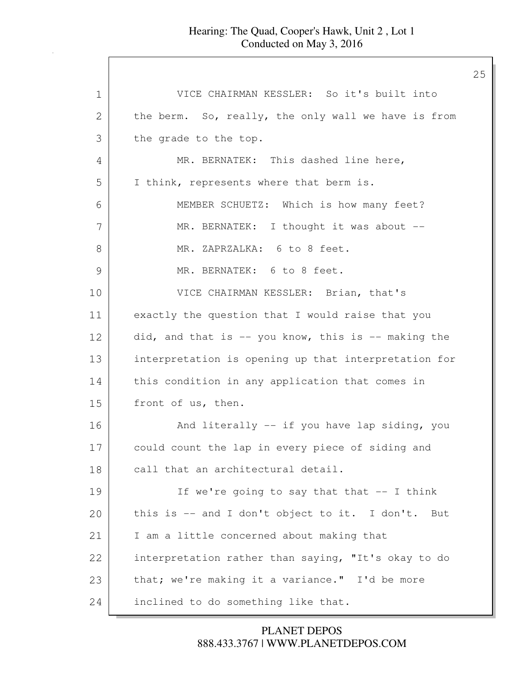| 1             | VICE CHAIRMAN KESSLER: So it's built into            |
|---------------|------------------------------------------------------|
| 2             | the berm. So, really, the only wall we have is from  |
| 3             | the grade to the top.                                |
| 4             | MR. BERNATEK: This dashed line here,                 |
| 5             | I think, represents where that berm is.              |
| 6             | MEMBER SCHUETZ: Which is how many feet?              |
| 7             | MR. BERNATEK: I thought it was about --              |
| 8             | MR. ZAPRZALKA: 6 to 8 feet.                          |
| $\mathcal{G}$ | MR. BERNATEK: 6 to 8 feet.                           |
| 10            | VICE CHAIRMAN KESSLER: Brian, that's                 |
| 11            | exactly the question that I would raise that you     |
| 12            | did, and that is -- you know, this is -- making the  |
| 13            | interpretation is opening up that interpretation for |
| 14            | this condition in any application that comes in      |
| 15            | front of us, then.                                   |
| 16            | And literally -- if you have lap siding, you         |
| 17            | could count the lap in every piece of siding and     |
| 18            | call that an architectural detail.                   |
| 19            | If we're going to say that that -- I think           |
| 20            | this is -- and I don't object to it. I don't.<br>But |
| 21            | I am a little concerned about making that            |
| 22            | interpretation rather than saying, "It's okay to do  |
| 23            | that; we're making it a variance." I'd be more       |
| 24            | inclined to do something like that.                  |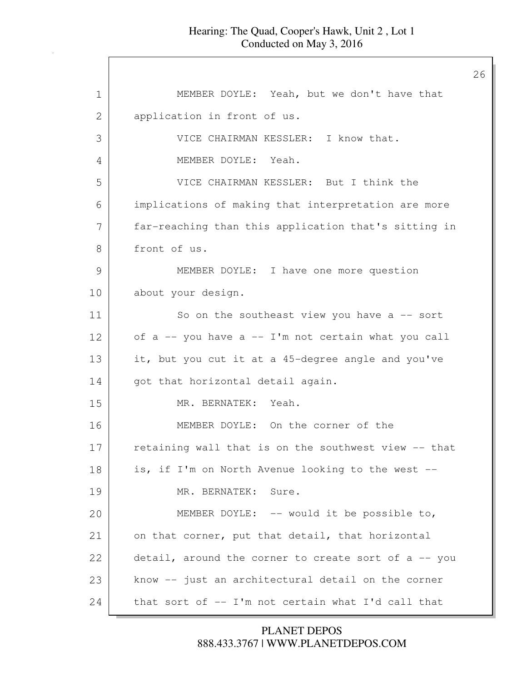| $\mathbf 1$ | MEMBER DOYLE: Yeah, but we don't have that           |
|-------------|------------------------------------------------------|
| 2           | application in front of us.                          |
| 3           | VICE CHAIRMAN KESSLER: I know that.                  |
| 4           | MEMBER DOYLE: Yeah.                                  |
| 5           | VICE CHAIRMAN KESSLER: But I think the               |
| 6           | implications of making that interpretation are more  |
| 7           | far-reaching than this application that's sitting in |
| 8           | front of us.                                         |
| 9           | MEMBER DOYLE: I have one more question               |
| 10          | about your design.                                   |
| 11          | So on the southeast view you have $a$ -- sort        |
| 12          | of a -- you have a -- I'm not certain what you call  |
| 13          | it, but you cut it at a 45-degree angle and you've   |
| 14          | got that horizontal detail again.                    |
| 15          | MR. BERNATEK: Yeah.                                  |
| 16          | MEMBER DOYLE: On the corner of the                   |
| 17          | retaining wall that is on the southwest view -- that |
| 18          | is, if I'm on North Avenue looking to the west --    |
| 19          | MR. BERNATEK:<br>Sure.                               |
| 20          | MEMBER DOYLE: -- would it be possible to,            |
| 21          | on that corner, put that detail, that horizontal     |
| 22          | detail, around the corner to create sort of a -- you |
| 23          | know -- just an architectural detail on the corner   |
| 24          | that sort of -- I'm not certain what I'd call that   |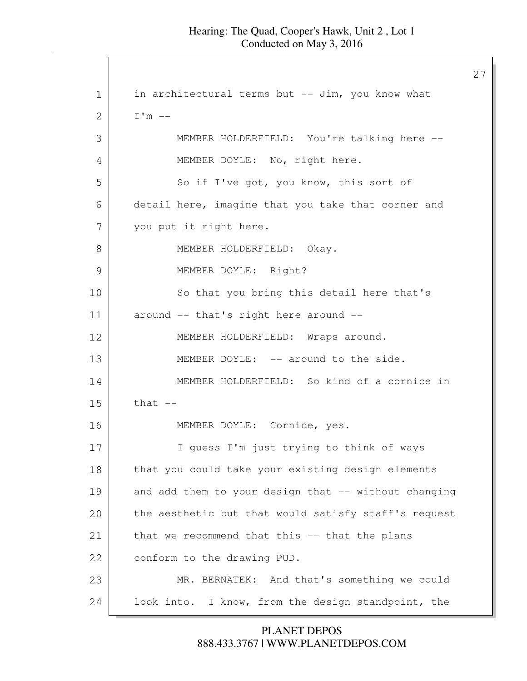27 1 in architectural terms but -- Jim, you know what  $2 \quad \text{I'm}$  --3 MEMBER HOLDERFIELD: You're talking here -- 4 MEMBER DOYLE: No, right here. 5 So if I've got, you know, this sort of 6 detail here, imagine that you take that corner and 7 you put it right here. 8 MEMBER HOLDERFIELD: Okay. 9 MEMBER DOYLE: Right? 10 So that you bring this detail here that's 11 around -- that's right here around -- 12 MEMBER HOLDERFIELD: Wraps around. 13 MEMBER DOYLE: -- around to the side. 14 MEMBER HOLDERFIELD: So kind of a cornice in  $15$  that  $-$ 16 MEMBER DOYLE: Cornice, yes. 17 I guess I'm just trying to think of ways 18 that you could take your existing design elements 19 and add them to your design that -- without changing 20 the aesthetic but that would satisfy staff's request 21 that we recommend that this -- that the plans 22 conform to the drawing PUD. 23 MR. BERNATEK: And that's something we could 24 look into. I know, from the design standpoint, the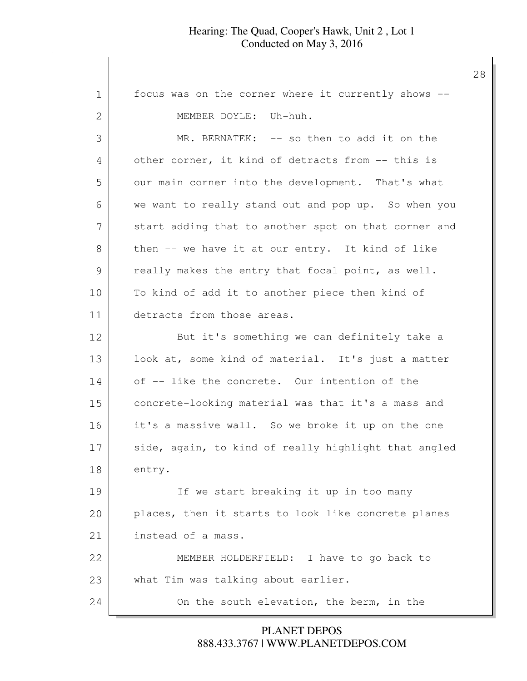| 1             | focus was on the corner where it currently shows --  |
|---------------|------------------------------------------------------|
| 2             | MEMBER DOYLE: Uh-huh.                                |
| 3             | MR. BERNATEK: -- so then to add it on the            |
| 4             | other corner, it kind of detracts from -- this is    |
| 5             | our main corner into the development. That's what    |
| 6             | we want to really stand out and pop up. So when you  |
| 7             | start adding that to another spot on that corner and |
| 8             | then -- we have it at our entry. It kind of like     |
| $\mathcal{G}$ | really makes the entry that focal point, as well.    |
| 10            | To kind of add it to another piece then kind of      |
| 11            | detracts from those areas.                           |
| 12            | But it's something we can definitely take a          |
| 13            | look at, some kind of material. It's just a matter   |
| 14            | of -- like the concrete. Our intention of the        |
| 15            | concrete-looking material was that it's a mass and   |
| 16            | it's a massive wall. So we broke it up on the one    |
| 17            | side, again, to kind of really highlight that angled |
| 18            | entry.                                               |
| 19            | If we start breaking it up in too many               |
| 20            | places, then it starts to look like concrete planes  |
| 21            | instead of a mass.                                   |
| 22            | MEMBER HOLDERFIELD: I have to go back to             |
| 23            | what Tim was talking about earlier.                  |
| 24            | On the south elevation, the berm, in the             |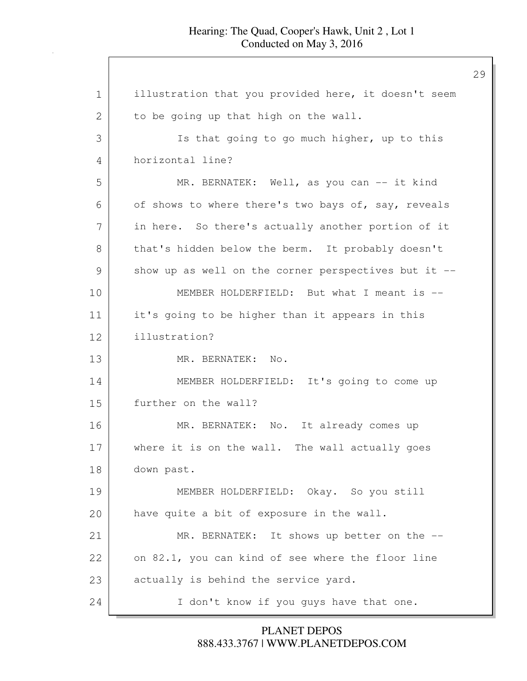| 1  | illustration that you provided here, it doesn't seem |
|----|------------------------------------------------------|
| 2  | to be going up that high on the wall.                |
| 3  | Is that going to go much higher, up to this          |
| 4  | horizontal line?                                     |
| 5  | MR. BERNATEK: Well, as you can -- it kind            |
| 6  | of shows to where there's two bays of, say, reveals  |
| 7  | in here. So there's actually another portion of it   |
| 8  | that's hidden below the berm. It probably doesn't    |
| 9  | show up as well on the corner perspectives but it -- |
| 10 | MEMBER HOLDERFIELD: But what I meant is --           |
| 11 | it's going to be higher than it appears in this      |
| 12 | illustration?                                        |
| 13 | MR. BERNATEK: No.                                    |
| 14 | MEMBER HOLDERFIELD: It's going to come up            |
| 15 | further on the wall?                                 |
| 16 | MR. BERNATEK: No. It already comes up                |
| 17 | where it is on the wall. The wall actually goes      |
| 18 | down past.                                           |
| 19 | MEMBER HOLDERFIELD: Okay. So you still               |
| 20 | have quite a bit of exposure in the wall.            |
| 21 | MR. BERNATEK: It shows up better on the --           |
| 22 | on 82.1, you can kind of see where the floor line    |
| 23 | actually is behind the service yard.                 |
| 24 | I don't know if you guys have that one.              |

888.433.3767 | WWW.PLANETDEPOS.COM PLANET DEPOS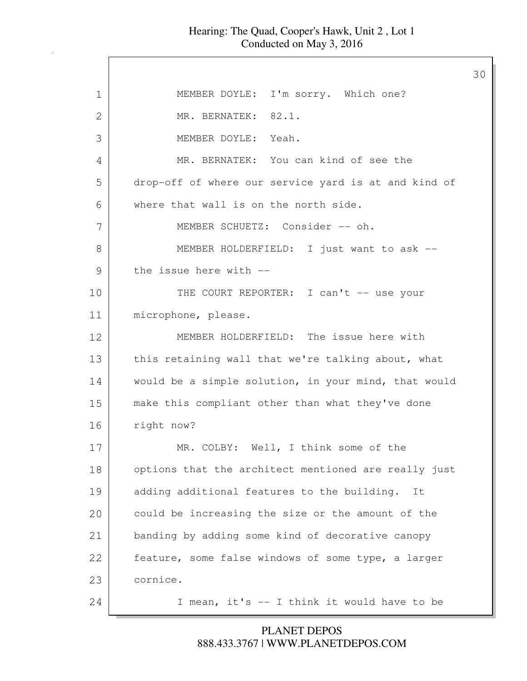$\mathbf l$ 

|               |                                                      | 30 |
|---------------|------------------------------------------------------|----|
| $\mathbf 1$   | MEMBER DOYLE: I'm sorry. Which one?                  |    |
| 2             | MR. BERNATEK: 82.1.                                  |    |
| 3             | MEMBER DOYLE: Yeah.                                  |    |
| 4             | MR. BERNATEK: You can kind of see the                |    |
| 5             | drop-off of where our service yard is at and kind of |    |
| 6             | where that wall is on the north side.                |    |
| 7             | MEMBER SCHUETZ: Consider -- oh.                      |    |
| 8             | MEMBER HOLDERFIELD: I just want to ask --            |    |
| $\mathcal{G}$ | the issue here with --                               |    |
| 10            | THE COURT REPORTER: I can't -- use your              |    |
| 11            | microphone, please.                                  |    |
| 12            | MEMBER HOLDERFIELD: The issue here with              |    |
| 13            | this retaining wall that we're talking about, what   |    |
| 14            | would be a simple solution, in your mind, that would |    |
| 15            | make this compliant other than what they've done     |    |
| 16            | right now?                                           |    |
| 17            | MR. COLBY: Well, I think some of the                 |    |
| 18            | options that the architect mentioned are really just |    |
| 19            | adding additional features to the building.<br>It    |    |
| 20            | could be increasing the size or the amount of the    |    |
| 21            | banding by adding some kind of decorative canopy     |    |
| 22            | feature, some false windows of some type, a larger   |    |
| 23            | cornice.                                             |    |
| 24            | I mean, it's -- I think it would have to be          |    |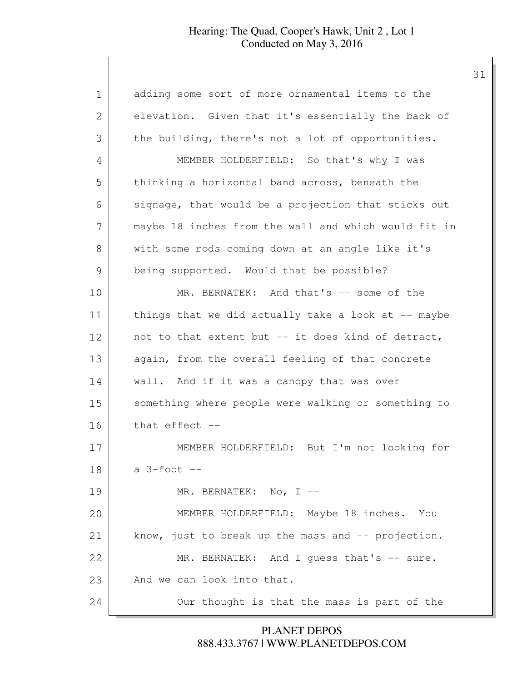| 1             | adding some sort of more ornamental items to the     |
|---------------|------------------------------------------------------|
| 2             | elevation. Given that it's essentially the back of   |
| 3             | the building, there's not a lot of opportunities.    |
| 4             | MEMBER HOLDERFIELD: So that's why I was              |
| 5             | thinking a horizontal band across, beneath the       |
| 6             | signage, that would be a projection that sticks out  |
| 7             | maybe 18 inches from the wall and which would fit in |
| 8             | with some rods coming down at an angle like it's     |
| $\mathcal{G}$ | being supported. Would that be possible?             |
| 10            | MR. BERNATEK: And that's -- some of the              |
| 11            | things that we did actually take a look at -- maybe  |
| 12            | not to that extent but -- it does kind of detract,   |
| 13            | again, from the overall feeling of that concrete     |
| 14            | wall. And if it was a canopy that was over           |
| 15            | something where people were walking or something to  |
| 16            | that effect --                                       |
| 17            | MEMBER HOLDERFIELD: But I'm not looking for          |
| 18            | $a$ 3-foot $-$                                       |
| 19            | MR. BERNATEK: No, I $-$                              |
| 20            | MEMBER HOLDERFIELD: Maybe 18 inches. You             |
| 21            | know, just to break up the mass and -- projection.   |
| 22            | MR. BERNATEK: And I quess that's -- sure.            |
| 23            | And we can look into that.                           |
| 24            | Our thought is that the mass is part of the          |

888.433.3767 | WWW.PLANETDEPOS.COM PLANET DEPOS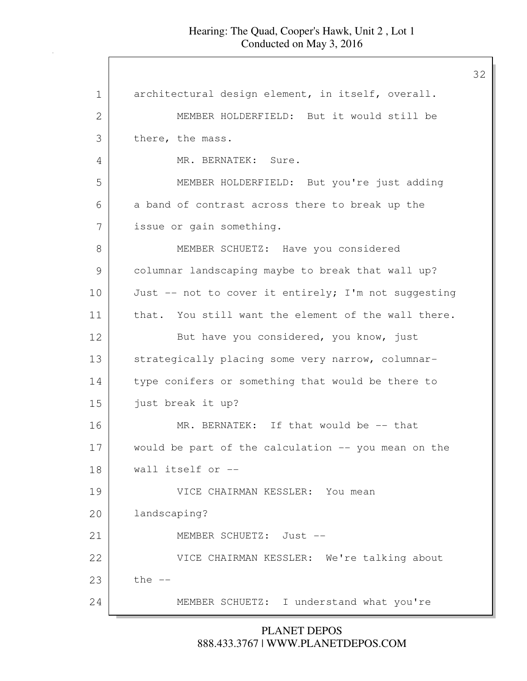| $\mathbf 1$ | architectural design element, in itself, overall.    |
|-------------|------------------------------------------------------|
| 2           | MEMBER HOLDERFIELD: But it would still be            |
| 3           | there, the mass.                                     |
| 4           | MR. BERNATEK: Sure.                                  |
| 5           | MEMBER HOLDERFIELD: But you're just adding           |
| 6           | a band of contrast across there to break up the      |
| 7           | issue or gain something.                             |
| 8           | MEMBER SCHUETZ: Have you considered                  |
| 9           | columnar landscaping maybe to break that wall up?    |
| 10          | Just -- not to cover it entirely; I'm not suggesting |
| 11          | that. You still want the element of the wall there.  |
| 12          | But have you considered, you know, just              |
| 13          | strategically placing some very narrow, columnar-    |
| 14          | type conifers or something that would be there to    |
| 15          | just break it up?                                    |
| 16          | MR. BERNATEK: If that would be -- that               |
| 17          | would be part of the calculation -- you mean on the  |
| 18          | wall itself or --                                    |
| 19          | VICE CHAIRMAN KESSLER: You mean                      |
| 20          | landscaping?                                         |
| 21          | MEMBER SCHUETZ: Just --                              |
| 22          | VICE CHAIRMAN KESSLER: We're talking about           |
| 23          | the $--$                                             |
| 24          | MEMBER SCHUETZ: I understand what you're             |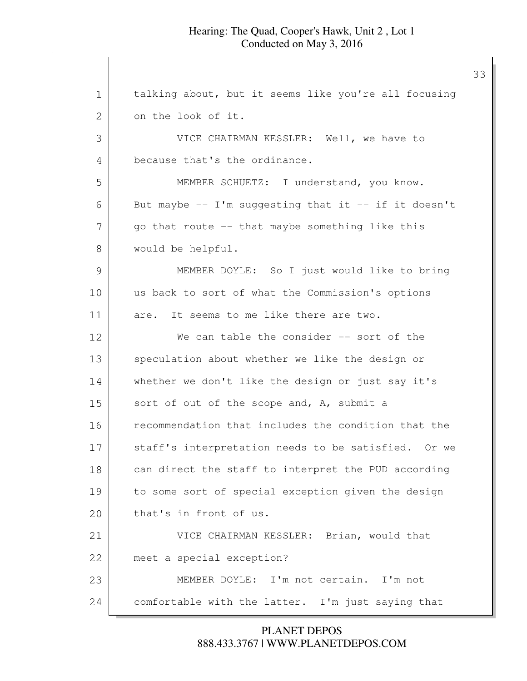1 talking about, but it seems like you're all focusing 2 on the look of it. 3 VICE CHAIRMAN KESSLER: Well, we have to 4 because that's the ordinance. 5 MEMBER SCHUETZ: I understand, you know. 6 But maybe  $-$  I'm suggesting that it  $-$  if it doesn't  $7$  go that route  $-$  that maybe something like this 8 | would be helpful. 9 MEMBER DOYLE: So I just would like to bring 10 us back to sort of what the Commission's options 11 are. It seems to me like there are two. 12 We can table the consider -- sort of the 13 speculation about whether we like the design or 14 whether we don't like the design or just say it's 15 sort of out of the scope and, A, submit a 16 **recommendation that includes the condition that the** 17 staff's interpretation needs to be satisfied. Or we 18 can direct the staff to interpret the PUD according 19 to some sort of special exception given the design 20 that's in front of us. 21 VICE CHAIRMAN KESSLER: Brian, would that 22 meet a special exception? 23 MEMBER DOYLE: I'm not certain. I'm not 24 comfortable with the latter. I'm just saying that

> 888.433.3767 | WWW.PLANETDEPOS.COM PLANET DEPOS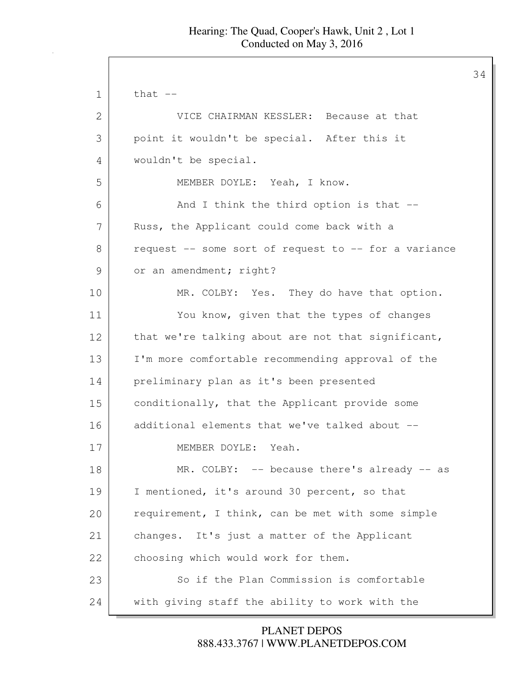34

 $1$  that  $-$ 2 VICE CHAIRMAN KESSLER: Because at that 3 point it wouldn't be special. After this it 4 wouldn't be special. 5 MEMBER DOYLE: Yeah, I know. 6 And I think the third option is that --7 | Russ, the Applicant could come back with a 8 request -- some sort of request to -- for a variance 9 or an amendment; right? 10 MR. COLBY: Yes. They do have that option. 11 You know, given that the types of changes 12 that we're talking about are not that significant, 13 I'm more comfortable recommending approval of the 14 preliminary plan as it's been presented 15 conditionally, that the Applicant provide some 16 additional elements that we've talked about --17 MEMBER DOYLE: Yeah. 18 MR. COLBY: -- because there's already -- as 19 I mentioned, it's around 30 percent, so that 20 requirement, I think, can be met with some simple 21 changes. It's just a matter of the Applicant 22 choosing which would work for them. 23 So if the Plan Commission is comfortable 24 with giving staff the ability to work with the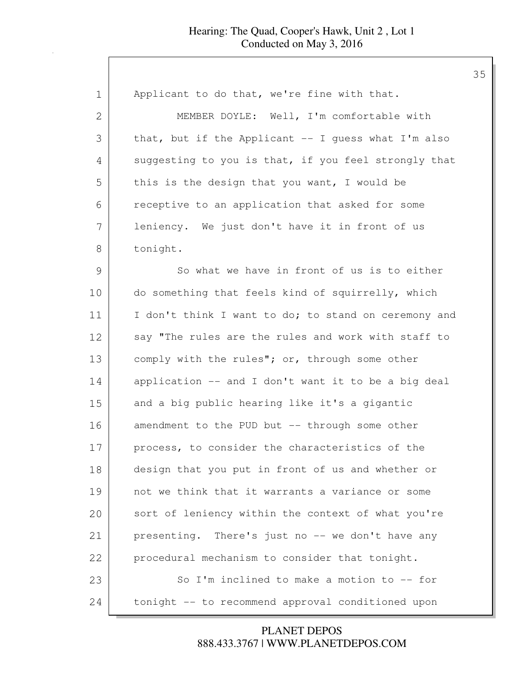#### Hearing: The Quad, Cooper's Hawk, Unit 2 , Lot 1 Conducted on May 3, 2016

| 1  | Applicant to do that, we're fine with that.          |
|----|------------------------------------------------------|
| 2  | MEMBER DOYLE: Well, I'm comfortable with             |
| 3  | that, but if the Applicant -- I guess what I'm also  |
| 4  | suggesting to you is that, if you feel strongly that |
| 5  | this is the design that you want, I would be         |
| 6  | receptive to an application that asked for some      |
| 7  | leniency. We just don't have it in front of us       |
| 8  | tonight.                                             |
| 9  | So what we have in front of us is to either          |
| 10 | do something that feels kind of squirrelly, which    |
| 11 | I don't think I want to do; to stand on ceremony and |
| 12 | say "The rules are the rules and work with staff to  |
| 13 | comply with the rules"; or, through some other       |
| 14 | application -- and I don't want it to be a big deal  |
| 15 | and a big public hearing like it's a gigantic        |
| 16 | amendment to the PUD but -- through some other       |
| 17 | process, to consider the characteristics of the      |
| 18 | design that you put in front of us and whether or    |
| 19 | not we think that it warrants a variance or some     |
| 20 | sort of leniency within the context of what you're   |
| 21 | presenting. There's just no -- we don't have any     |
| 22 | procedural mechanism to consider that tonight.       |
| 23 | So I'm inclined to make a motion to -- for           |
| 24 | tonight -- to recommend approval conditioned upon    |

888.433.3767 | WWW.PLANETDEPOS.COM PLANET DEPOS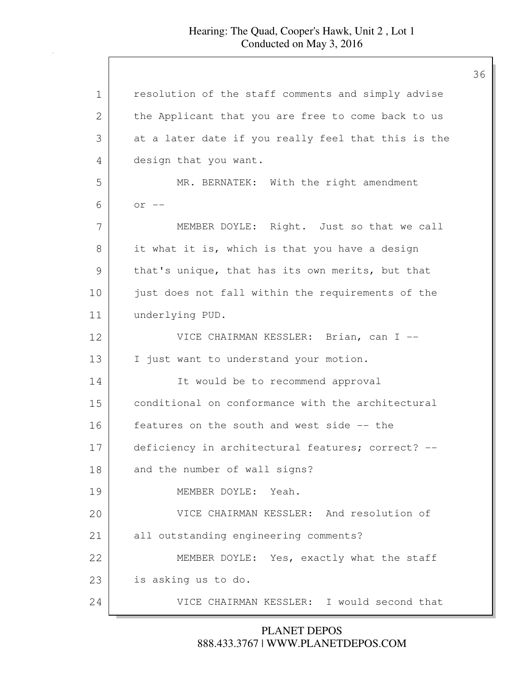#### Hearing: The Quad, Cooper's Hawk, Unit 2 , Lot 1 Conducted on May 3, 2016

1 | resolution of the staff comments and simply advise 2 | the Applicant that you are free to come back to us 3 at a later date if you really feel that this is the 4 design that you want. 5 MR. BERNATEK: With the right amendment  $6 \quad$  or  $-$ 7 | MEMBER DOYLE: Right. Just so that we call 8 it what it is, which is that you have a design 9 that's unique, that has its own merits, but that 10 just does not fall within the requirements of the 11 underlying PUD. 12 VICE CHAIRMAN KESSLER: Brian, can I -- 13 I just want to understand your motion. 14 It would be to recommend approval 15 conditional on conformance with the architectural 16 features on the south and west side -- the 17 deficiency in architectural features; correct? --18 and the number of wall signs? 19 MEMBER DOYLE: Yeah. 20 VICE CHAIRMAN KESSLER: And resolution of 21 all outstanding engineering comments? 22 MEMBER DOYLE: Yes, exactly what the staff 23 is asking us to do. 24 VICE CHAIRMAN KESSLER: I would second that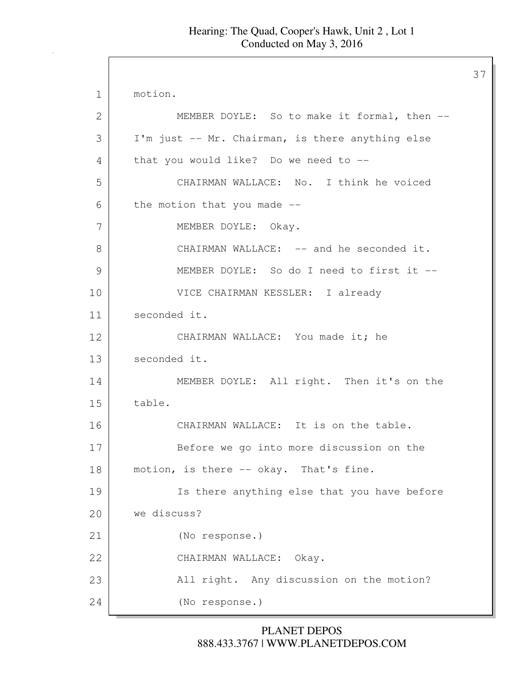37

1 motion. 2 MEMBER DOYLE: So to make it formal, then --3 I'm just -- Mr. Chairman, is there anything else 4 that you would like? Do we need to --5 CHAIRMAN WALLACE: No. I think he voiced  $6$  the motion that you made  $-$ 7 MEMBER DOYLE: Okay. 8 CHAIRMAN WALLACE: -- and he seconded it. 9 MEMBER DOYLE: So do I need to first it -- 10 | VICE CHAIRMAN KESSLER: I already 11 seconded it. 12 CHAIRMAN WALLACE: You made it; he 13 seconded it. 14 MEMBER DOYLE: All right. Then it's on the 15 table. 16 CHAIRMAN WALLACE: It is on the table. 17 Before we go into more discussion on the 18 | motion, is there -- okay. That's fine. 19 Is there anything else that you have before 20 we discuss? 21 (No response.) 22 | CHAIRMAN WALLACE: Okay. 23 All right. Any discussion on the motion? 24 (No response.)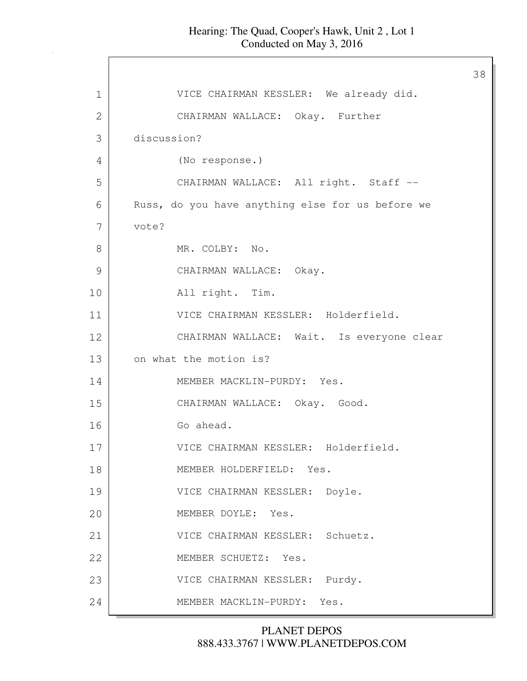|               |                                                  | 38 |
|---------------|--------------------------------------------------|----|
| $\mathbf 1$   | VICE CHAIRMAN KESSLER: We already did.           |    |
| $\mathbf{2}$  | CHAIRMAN WALLACE: Okay. Further                  |    |
| 3             | discussion?                                      |    |
| 4             | (No response.)                                   |    |
| 5             | CHAIRMAN WALLACE: All right. Staff --            |    |
| 6             | Russ, do you have anything else for us before we |    |
| 7             | vote?                                            |    |
| 8             | MR. COLBY: No.                                   |    |
| $\mathcal{G}$ | CHAIRMAN WALLACE: Okay.                          |    |
| 10            | All right. Tim.                                  |    |
| 11            | VICE CHAIRMAN KESSLER: Holderfield.              |    |
| 12            | CHAIRMAN WALLACE: Wait. Is everyone clear        |    |
| 13            | on what the motion is?                           |    |
| 14            | MEMBER MACKLIN-PURDY: Yes.                       |    |
| 15            | CHAIRMAN WALLACE: Okay. Good.                    |    |
| 16            | Go ahead.                                        |    |
| 17            | VICE CHAIRMAN KESSLER: Holderfield.              |    |
| 18            | MEMBER HOLDERFIELD: Yes.                         |    |
| 19            | VICE CHAIRMAN KESSLER: Doyle.                    |    |
| 20            | MEMBER DOYLE: Yes.                               |    |
| 21            | VICE CHAIRMAN KESSLER: Schuetz.                  |    |
| 22            | MEMBER SCHUETZ: Yes.                             |    |
| 23            | Purdy.<br>VICE CHAIRMAN KESSLER:                 |    |
| 24            | MEMBER MACKLIN-PURDY: Yes.                       |    |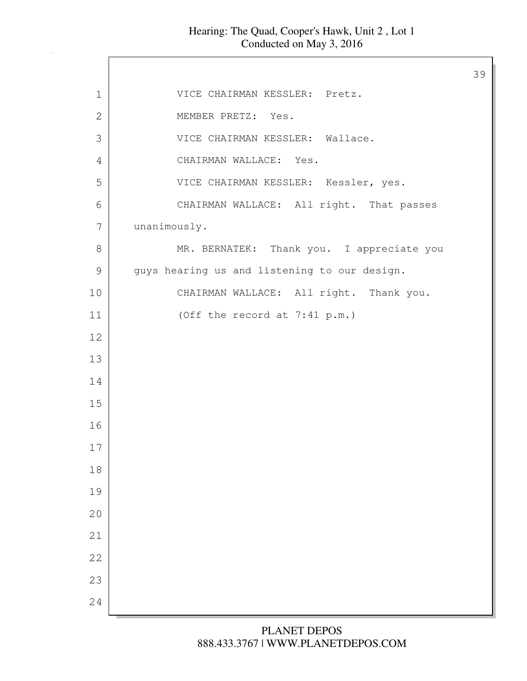#### Hearing: The Quad, Cooper's Hawk, Unit 2 , Lot 1 Conducted on May 3, 2016

 $\Gamma$ 

|               |                                              | 39 |
|---------------|----------------------------------------------|----|
| $\mathbf 1$   | VICE CHAIRMAN KESSLER: Pretz.                |    |
| $\mathbf{2}$  | MEMBER PRETZ: Yes.                           |    |
| 3             | VICE CHAIRMAN KESSLER: Wallace.              |    |
| 4             | CHAIRMAN WALLACE: Yes.                       |    |
| 5             | VICE CHAIRMAN KESSLER: Kessler, yes.         |    |
| 6             | CHAIRMAN WALLACE: All right. That passes     |    |
| 7             | unanimously.                                 |    |
| 8             | MR. BERNATEK: Thank you. I appreciate you    |    |
| $\mathcal{G}$ | guys hearing us and listening to our design. |    |
| 10            | CHAIRMAN WALLACE: All right. Thank you.      |    |
| 11            | (Off the record at 7:41 p.m.)                |    |
| 12            |                                              |    |
| 13            |                                              |    |
| 14            |                                              |    |
| 15            |                                              |    |
| 16            |                                              |    |
| 17            |                                              |    |
| $1\,8$        |                                              |    |
| 19            |                                              |    |
| 20            |                                              |    |
| 21            |                                              |    |
| 22            |                                              |    |
| 23            |                                              |    |
| 24            |                                              |    |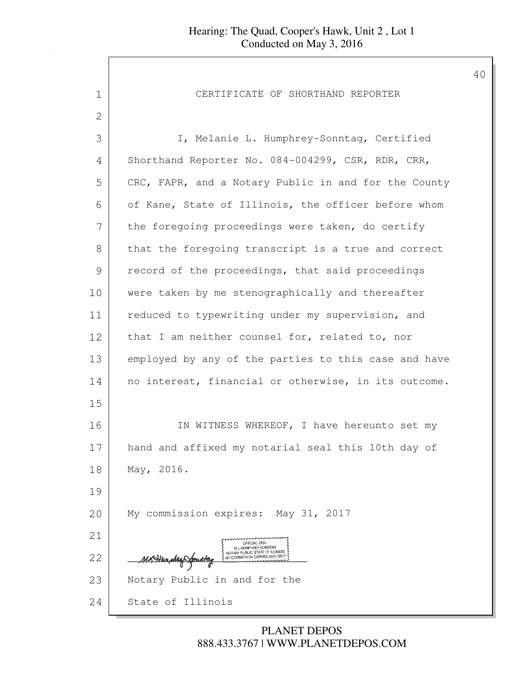1 CERTIFICATE OF SHORTHAND REPORTER 2 3 I, Melanie L. Humphrey-Sonntag, Certified 4 Shorthand Reporter No. 084-004299, CSR, RDR, CRR, 5 CRC, FAPR, and a Notary Public in and for the County 6 of Kane, State of Illinois, the officer before whom 7 the foregoing proceedings were taken, do certify 8 that the foregoing transcript is a true and correct 9 record of the proceedings, that said proceedings 10 were taken by me stenographically and thereafter 11 reduced to typewriting under my supervision, and 12 that I am neither counsel for, related to, nor 13 employed by any of the parties to this case and have 14 no interest, financial or otherwise, in its outcome. 15 16 IN WITNESS WHEREOF, I have hereunto set my 17 hand and affixed my notarial seal this 10th day of 18 May, 2016. 19 20 My commission expires: May 31, 2017 21 22 MERIDIAN CONTROL SEAL AND CONTROL SEAL AND CONTROL SEAL AND CONTROL SEAL AND CONTROL SEAL AND CONTROL SEAL AND CONTROL SEAL AND CONTROL SEAL AND CONTROL SEAL AND CONTROL SEAL AND CONTROL SEAL AND CONTROL SEAL AND CONTRO 23 Notary Public in and for the 24 State of Illinois

> 888.433.3767 | WWW.PLANETDEPOS.COM PLANET DEPOS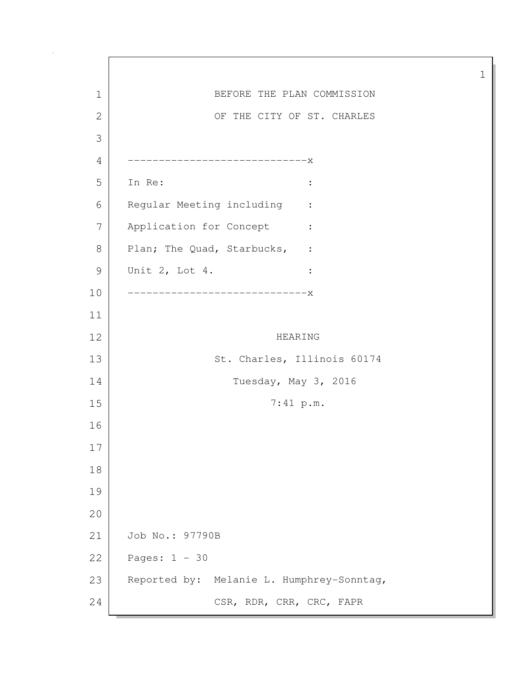1 BEFORE THE PLAN COMMISSION 2 OF THE CITY OF ST. CHARLES 3 4 -----------------------------x 5 In Re: : 6 Regular Meeting including : 7 Application for Concept : 8 Plan; The Quad, Starbucks, : 9 Unit 2, Lot 4. : 10 -----------------------------x 11 12 HEARING 13 St. Charles, Illinois 60174 14 Tuesday, May 3, 2016 15 7:41 p.m. 16 17 18 19 20 21 Job No.: 97790B 22 Pages: 1 - 30 23 Reported by: Melanie L. Humphrey-Sonntag, 24 CSR, RDR, CRR, CRC, FAPR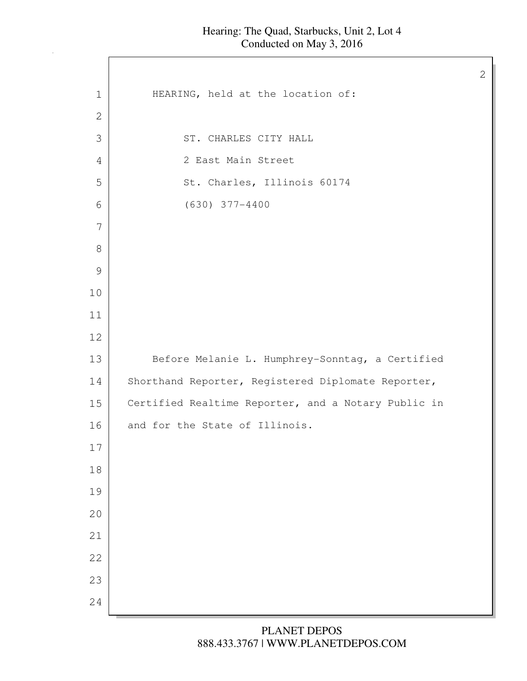$\mathsf{I}$ 

| HEARING, held at the location of:<br>$\mathbf 1$<br>$\mathbf{2}$<br>3<br>ST. CHARLES CITY HALL<br>2 East Main Street<br>4<br>St. Charles, Illinois 60174<br>5<br>$(630)$ 377-4400<br>6<br>7<br>$8\,$<br>$\mathcal{G}$<br>$10$<br>11<br>12<br>13<br>Before Melanie L. Humphrey-Sonntag, a Certified<br>Shorthand Reporter, Registered Diplomate Reporter,<br>14<br>Certified Realtime Reporter, and a Notary Public in<br>15<br>16<br>and for the State of Illinois.<br>17<br>18<br>19<br>20<br>21<br>22<br>23 |  |
|---------------------------------------------------------------------------------------------------------------------------------------------------------------------------------------------------------------------------------------------------------------------------------------------------------------------------------------------------------------------------------------------------------------------------------------------------------------------------------------------------------------|--|
|                                                                                                                                                                                                                                                                                                                                                                                                                                                                                                               |  |
|                                                                                                                                                                                                                                                                                                                                                                                                                                                                                                               |  |
|                                                                                                                                                                                                                                                                                                                                                                                                                                                                                                               |  |
|                                                                                                                                                                                                                                                                                                                                                                                                                                                                                                               |  |
|                                                                                                                                                                                                                                                                                                                                                                                                                                                                                                               |  |
|                                                                                                                                                                                                                                                                                                                                                                                                                                                                                                               |  |
|                                                                                                                                                                                                                                                                                                                                                                                                                                                                                                               |  |
|                                                                                                                                                                                                                                                                                                                                                                                                                                                                                                               |  |
|                                                                                                                                                                                                                                                                                                                                                                                                                                                                                                               |  |
|                                                                                                                                                                                                                                                                                                                                                                                                                                                                                                               |  |
|                                                                                                                                                                                                                                                                                                                                                                                                                                                                                                               |  |
|                                                                                                                                                                                                                                                                                                                                                                                                                                                                                                               |  |
|                                                                                                                                                                                                                                                                                                                                                                                                                                                                                                               |  |
|                                                                                                                                                                                                                                                                                                                                                                                                                                                                                                               |  |
|                                                                                                                                                                                                                                                                                                                                                                                                                                                                                                               |  |
|                                                                                                                                                                                                                                                                                                                                                                                                                                                                                                               |  |
|                                                                                                                                                                                                                                                                                                                                                                                                                                                                                                               |  |
|                                                                                                                                                                                                                                                                                                                                                                                                                                                                                                               |  |
|                                                                                                                                                                                                                                                                                                                                                                                                                                                                                                               |  |
|                                                                                                                                                                                                                                                                                                                                                                                                                                                                                                               |  |
|                                                                                                                                                                                                                                                                                                                                                                                                                                                                                                               |  |
|                                                                                                                                                                                                                                                                                                                                                                                                                                                                                                               |  |
|                                                                                                                                                                                                                                                                                                                                                                                                                                                                                                               |  |
| 24                                                                                                                                                                                                                                                                                                                                                                                                                                                                                                            |  |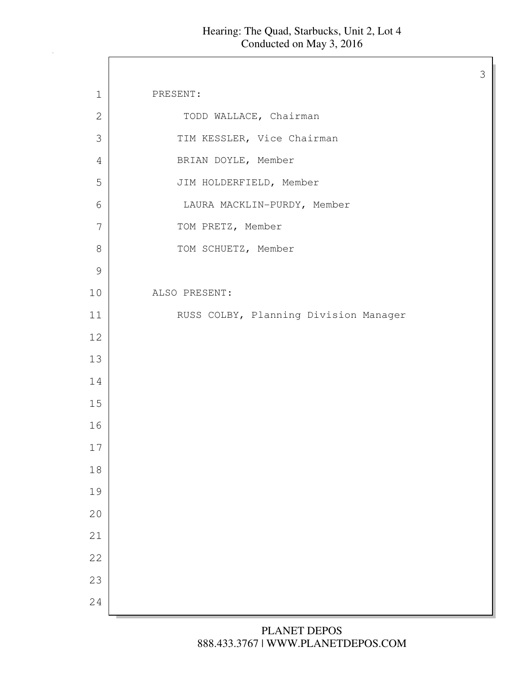$\Gamma$ 

| $1\,$         | PRESENT:                              |
|---------------|---------------------------------------|
| $\mathbf 2$   | TODD WALLACE, Chairman                |
| 3             | TIM KESSLER, Vice Chairman            |
| 4             | BRIAN DOYLE, Member                   |
| 5             | JIM HOLDERFIELD, Member               |
| 6             | LAURA MACKLIN-PURDY, Member           |
| 7             | TOM PRETZ, Member                     |
| $\,8\,$       | TOM SCHUETZ, Member                   |
| $\mathcal{G}$ |                                       |
| 10            | ALSO PRESENT:                         |
| 11            | RUSS COLBY, Planning Division Manager |
| 12            |                                       |
| 13            |                                       |
| 14            |                                       |
| 15            |                                       |
| 16            |                                       |
| 17            |                                       |
| $18\,$        |                                       |
| 19            |                                       |
| 20            |                                       |
| 21            |                                       |
| 22            |                                       |
| 23            |                                       |
| 24            |                                       |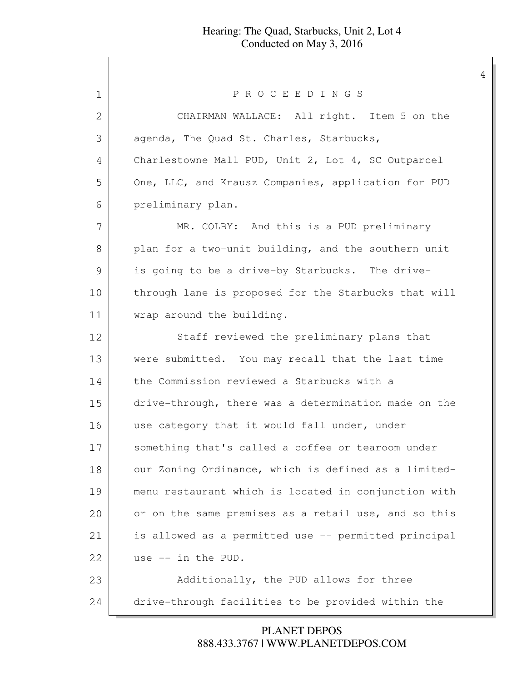| PROCEEDINGS<br>1<br>CHAIRMAN WALLACE: All right. Item 5 on the<br>2<br>3<br>agenda, The Quad St. Charles, Starbucks,<br>Charlestowne Mall PUD, Unit 2, Lot 4, SC Outparcel<br>4<br>5<br>One, LLC, and Krausz Companies, application for PUD<br>6<br>preliminary plan.<br>7<br>MR. COLBY: And this is a PUD preliminary<br>8<br>plan for a two-unit building, and the southern unit<br>9<br>is going to be a drive-by Starbucks. The drive-<br>through lane is proposed for the Starbucks that will<br>wrap around the building.<br>Staff reviewed the preliminary plans that<br>were submitted. You may recall that the last time<br>the Commission reviewed a Starbucks with a<br>drive-through, there was a determination made on the<br>use category that it would fall under, under<br>something that's called a coffee or tearoom under<br>our Zoning Ordinance, which is defined as a limited- |  |
|------------------------------------------------------------------------------------------------------------------------------------------------------------------------------------------------------------------------------------------------------------------------------------------------------------------------------------------------------------------------------------------------------------------------------------------------------------------------------------------------------------------------------------------------------------------------------------------------------------------------------------------------------------------------------------------------------------------------------------------------------------------------------------------------------------------------------------------------------------------------------------------------------|--|
| 10<br>11<br>12<br>13<br>14<br>15<br>16<br>17<br>18                                                                                                                                                                                                                                                                                                                                                                                                                                                                                                                                                                                                                                                                                                                                                                                                                                                   |  |
|                                                                                                                                                                                                                                                                                                                                                                                                                                                                                                                                                                                                                                                                                                                                                                                                                                                                                                      |  |
|                                                                                                                                                                                                                                                                                                                                                                                                                                                                                                                                                                                                                                                                                                                                                                                                                                                                                                      |  |
|                                                                                                                                                                                                                                                                                                                                                                                                                                                                                                                                                                                                                                                                                                                                                                                                                                                                                                      |  |
|                                                                                                                                                                                                                                                                                                                                                                                                                                                                                                                                                                                                                                                                                                                                                                                                                                                                                                      |  |
|                                                                                                                                                                                                                                                                                                                                                                                                                                                                                                                                                                                                                                                                                                                                                                                                                                                                                                      |  |
|                                                                                                                                                                                                                                                                                                                                                                                                                                                                                                                                                                                                                                                                                                                                                                                                                                                                                                      |  |
|                                                                                                                                                                                                                                                                                                                                                                                                                                                                                                                                                                                                                                                                                                                                                                                                                                                                                                      |  |
|                                                                                                                                                                                                                                                                                                                                                                                                                                                                                                                                                                                                                                                                                                                                                                                                                                                                                                      |  |
|                                                                                                                                                                                                                                                                                                                                                                                                                                                                                                                                                                                                                                                                                                                                                                                                                                                                                                      |  |
|                                                                                                                                                                                                                                                                                                                                                                                                                                                                                                                                                                                                                                                                                                                                                                                                                                                                                                      |  |
|                                                                                                                                                                                                                                                                                                                                                                                                                                                                                                                                                                                                                                                                                                                                                                                                                                                                                                      |  |
|                                                                                                                                                                                                                                                                                                                                                                                                                                                                                                                                                                                                                                                                                                                                                                                                                                                                                                      |  |
|                                                                                                                                                                                                                                                                                                                                                                                                                                                                                                                                                                                                                                                                                                                                                                                                                                                                                                      |  |
|                                                                                                                                                                                                                                                                                                                                                                                                                                                                                                                                                                                                                                                                                                                                                                                                                                                                                                      |  |
|                                                                                                                                                                                                                                                                                                                                                                                                                                                                                                                                                                                                                                                                                                                                                                                                                                                                                                      |  |
|                                                                                                                                                                                                                                                                                                                                                                                                                                                                                                                                                                                                                                                                                                                                                                                                                                                                                                      |  |
|                                                                                                                                                                                                                                                                                                                                                                                                                                                                                                                                                                                                                                                                                                                                                                                                                                                                                                      |  |
| 19<br>menu restaurant which is located in conjunction with                                                                                                                                                                                                                                                                                                                                                                                                                                                                                                                                                                                                                                                                                                                                                                                                                                           |  |
| 20<br>or on the same premises as a retail use, and so this                                                                                                                                                                                                                                                                                                                                                                                                                                                                                                                                                                                                                                                                                                                                                                                                                                           |  |
| is allowed as a permitted use -- permitted principal<br>21                                                                                                                                                                                                                                                                                                                                                                                                                                                                                                                                                                                                                                                                                                                                                                                                                                           |  |
| 22<br>use -- in the PUD.                                                                                                                                                                                                                                                                                                                                                                                                                                                                                                                                                                                                                                                                                                                                                                                                                                                                             |  |
| 23<br>Additionally, the PUD allows for three                                                                                                                                                                                                                                                                                                                                                                                                                                                                                                                                                                                                                                                                                                                                                                                                                                                         |  |
| drive-through facilities to be provided within the<br>24                                                                                                                                                                                                                                                                                                                                                                                                                                                                                                                                                                                                                                                                                                                                                                                                                                             |  |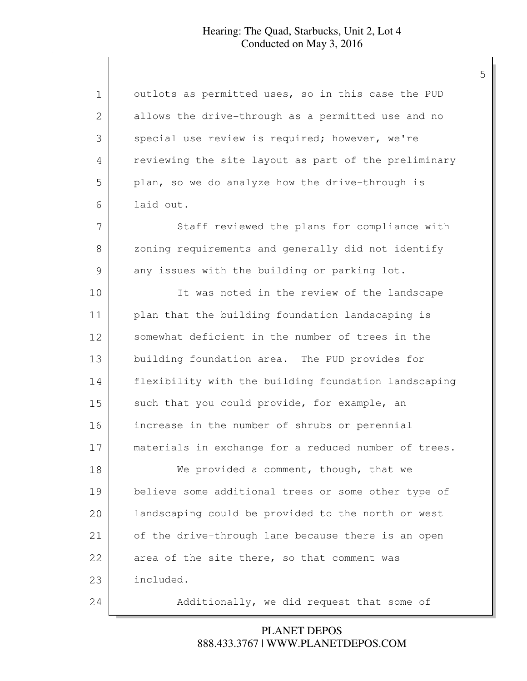| $\mathbf 1$   | outlots as permitted uses, so in this case the PUD   |
|---------------|------------------------------------------------------|
| 2             | allows the drive-through as a permitted use and no   |
| 3             | special use review is required; however, we're       |
| 4             | reviewing the site layout as part of the preliminary |
| 5             | plan, so we do analyze how the drive-through is      |
| 6             | laid out.                                            |
| 7             | Staff reviewed the plans for compliance with         |
| 8             | zoning requirements and generally did not identify   |
| $\mathcal{G}$ | any issues with the building or parking lot.         |
| 10            | It was noted in the review of the landscape          |
| 11            | plan that the building foundation landscaping is     |
| 12            | somewhat deficient in the number of trees in the     |
| 13            | building foundation area. The PUD provides for       |
| 14            | flexibility with the building foundation landscaping |
| 15            | such that you could provide, for example, an         |
| 16            | increase in the number of shrubs or perennial        |
| 17            | materials in exchange for a reduced number of trees. |
| 18            | We provided a comment, though, that we               |
| 19            | believe some additional trees or some other type of  |
| 20            | landscaping could be provided to the north or west   |
| 21            | of the drive-through lane because there is an open   |
| 22            | area of the site there, so that comment was          |
| 23            | included.                                            |
| 24            | Additionally, we did request that some of            |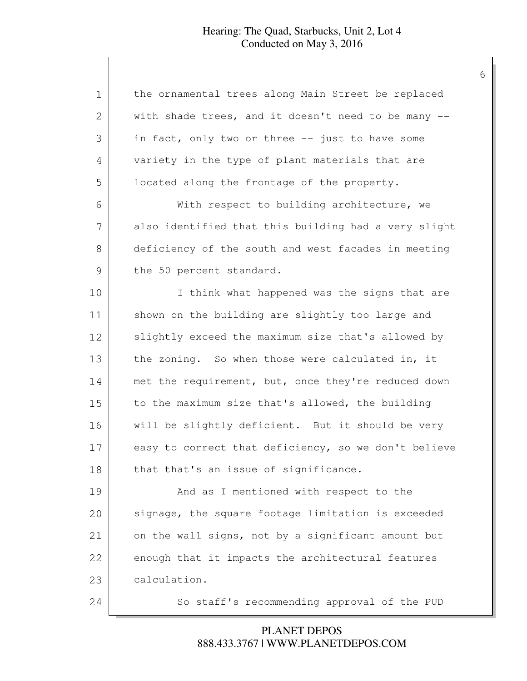| 1             | the ornamental trees along Main Street be replaced   |
|---------------|------------------------------------------------------|
| $\mathbf{2}$  | with shade trees, and it doesn't need to be many --  |
| 3             | in fact, only two or three -- just to have some      |
| 4             | variety in the type of plant materials that are      |
| 5             | located along the frontage of the property.          |
| 6             | With respect to building architecture, we            |
| 7             | also identified that this building had a very slight |
| 8             | deficiency of the south and west facades in meeting  |
| $\mathcal{G}$ | the 50 percent standard.                             |
| 10            | I think what happened was the signs that are         |
| 11            | shown on the building are slightly too large and     |
| 12            | slightly exceed the maximum size that's allowed by   |
| 13            | the zoning. So when those were calculated in, it     |
| 14            | met the requirement, but, once they're reduced down  |
| 15            | to the maximum size that's allowed, the building     |
| 16            | will be slightly deficient. But it should be very    |
| 17            | easy to correct that deficiency, so we don't believe |
| 18            | that that's an issue of significance.                |
| 19            | And as I mentioned with respect to the               |
| 20            | signage, the square footage limitation is exceeded   |
| 21            | on the wall signs, not by a significant amount but   |
| 22            | enough that it impacts the architectural features    |
| 23            | calculation.                                         |
| 24            | So staff's recommending approval of the PUD          |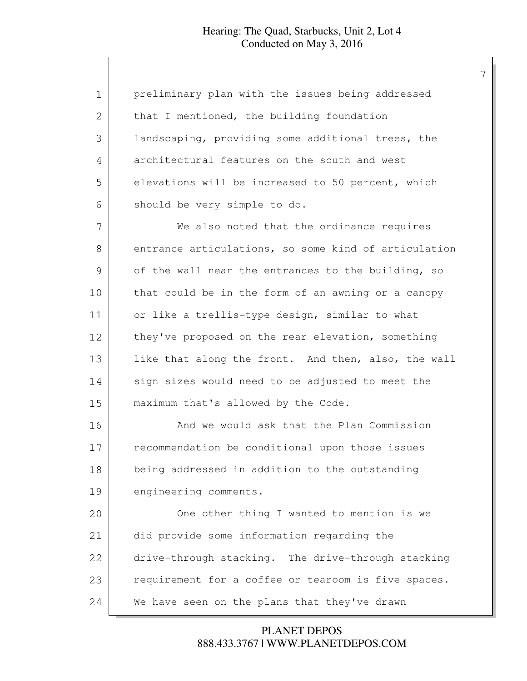| 1  | preliminary plan with the issues being addressed     |
|----|------------------------------------------------------|
| 2  | that I mentioned, the building foundation            |
| 3  | landscaping, providing some additional trees, the    |
| 4  | architectural features on the south and west         |
| 5  | elevations will be increased to 50 percent, which    |
| 6  | should be very simple to do.                         |
| 7  | We also noted that the ordinance requires            |
| 8  | entrance articulations, so some kind of articulation |
| 9  | of the wall near the entrances to the building, so   |
| 10 | that could be in the form of an awning or a canopy   |
| 11 | or like a trellis-type design, similar to what       |
| 12 | they've proposed on the rear elevation, something    |
| 13 | like that along the front. And then, also, the wall  |
| 14 | sign sizes would need to be adjusted to meet the     |
| 15 | maximum that's allowed by the Code.                  |
| 16 | And we would ask that the Plan Commission            |
| 17 | recommendation be conditional upon those issues      |
| 18 | being addressed in addition to the outstanding       |
| 19 | engineering comments.                                |
| 20 | One other thing I wanted to mention is we            |
| 21 | did provide some information regarding the           |
| 22 | drive-through stacking. The drive-through stacking   |
| 23 | requirement for a coffee or tearoom is five spaces.  |
| 24 | We have seen on the plans that they've drawn         |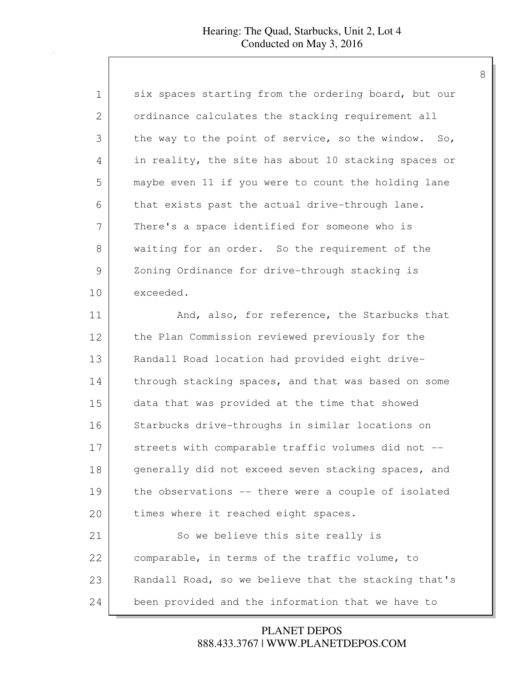| $\mathbf 1$  | six spaces starting from the ordering board, but our |
|--------------|------------------------------------------------------|
| $\mathbf{2}$ | ordinance calculates the stacking requirement all    |
| 3            | the way to the point of service, so the window. So,  |
| 4            | in reality, the site has about 10 stacking spaces or |
| 5            | maybe even 11 if you were to count the holding lane  |
| 6            | that exists past the actual drive-through lane.      |
| 7            | There's a space identified for someone who is        |
| 8            | waiting for an order. So the requirement of the      |
| 9            | Zoning Ordinance for drive-through stacking is       |
| 10           | exceeded.                                            |
| 11           | And, also, for reference, the Starbucks that         |
| 12           | the Plan Commission reviewed previously for the      |
| 13           | Randall Road location had provided eight drive-      |
| 14           | through stacking spaces, and that was based on some  |
| 15           | data that was provided at the time that showed       |
| 16           | Starbucks drive-throughs in similar locations on     |
| 17           | streets with comparable traffic volumes did not --   |
| 18           | generally did not exceed seven stacking spaces, and  |
| 19           | the observations -- there were a couple of isolated  |
| 20           | times where it reached eight spaces.                 |
| 21           | So we believe this site really is                    |
| 22           | comparable, in terms of the traffic volume, to       |
| 23           | Randall Road, so we believe that the stacking that's |
| 24           | been provided and the information that we have to    |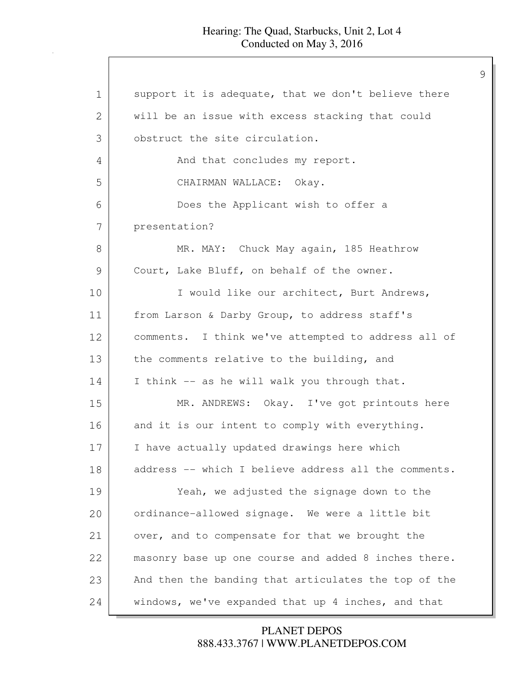| 1  | support it is adequate, that we don't believe there  |
|----|------------------------------------------------------|
| 2  | will be an issue with excess stacking that could     |
| 3  | obstruct the site circulation.                       |
| 4  | And that concludes my report.                        |
| 5  | CHAIRMAN WALLACE: Okay.                              |
| 6  | Does the Applicant wish to offer a                   |
| 7  | presentation?                                        |
| 8  | MR. MAY: Chuck May again, 185 Heathrow               |
| 9  | Court, Lake Bluff, on behalf of the owner.           |
| 10 | I would like our architect, Burt Andrews,            |
| 11 | from Larson & Darby Group, to address staff's        |
| 12 | comments. I think we've attempted to address all of  |
| 13 | the comments relative to the building, and           |
| 14 | I think -- as he will walk you through that.         |
| 15 | MR. ANDREWS: Okay. I've got printouts here           |
| 16 | and it is our intent to comply with everything.      |
| 17 | I have actually updated drawings here which          |
| 18 | address -- which I believe address all the comments. |
| 19 | Yeah, we adjusted the signage down to the            |
| 20 | ordinance-allowed signage. We were a little bit      |
| 21 | over, and to compensate for that we brought the      |
| 22 | masonry base up one course and added 8 inches there. |
| 23 | And then the banding that articulates the top of the |
| 24 | windows, we've expanded that up 4 inches, and that   |

### 888.433.3767 | WWW.PLANETDEPOS.COM PLANET DEPOS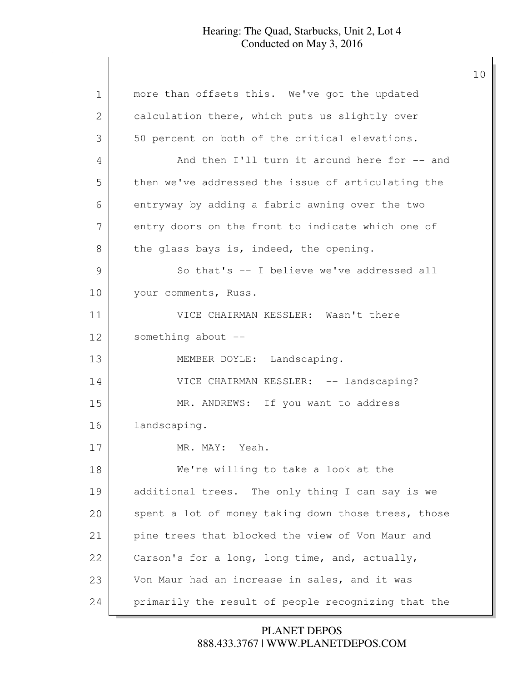1 | more than offsets this. We've got the updated 2 calculation there, which puts us slightly over 3 50 percent on both of the critical elevations. 4 And then I'll turn it around here for -- and 5 then we've addressed the issue of articulating the 6 entryway by adding a fabric awning over the two 7 entry doors on the front to indicate which one of 8 the glass bays is, indeed, the opening. 9 So that's -- I believe we've addressed all 10 your comments, Russ. 11 VICE CHAIRMAN KESSLER: Wasn't there 12 something about --13 MEMBER DOYLE: Landscaping. 14 VICE CHAIRMAN KESSLER: -- landscaping? 15 MR. ANDREWS: If you want to address 16 landscaping. 17 MR. MAY: Yeah. 18 We're willing to take a look at the 19 additional trees. The only thing I can say is we 20 spent a lot of money taking down those trees, those 21 pine trees that blocked the view of Von Maur and 22 Carson's for a long, long time, and, actually, 23 Von Maur had an increase in sales, and it was 24 primarily the result of people recognizing that the

> 888.433.3767 | WWW.PLANETDEPOS.COM PLANET DEPOS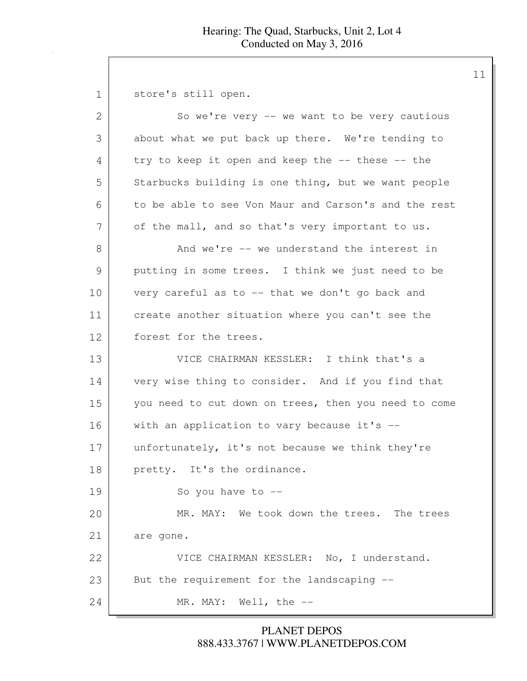1 store's still open. 2 So we're very -- we want to be very cautious 3 about what we put back up there. We're tending to 4 try to keep it open and keep the -- these -- the 5 Starbucks building is one thing, but we want people 6 to be able to see Von Maur and Carson's and the rest 7 of the mall, and so that's very important to us. 8 And we're -- we understand the interest in 9 putting in some trees. I think we just need to be 10 very careful as to -- that we don't go back and 11 create another situation where you can't see the 12 forest for the trees. 13 VICE CHAIRMAN KESSLER: I think that's a 14 very wise thing to consider. And if you find that 15 you need to cut down on trees, then you need to come 16 with an application to vary because it's -- 17 unfortunately, it's not because we think they're 18 pretty. It's the ordinance. 19 So you have to --20 MR. MAY: We took down the trees. The trees 21 are gone. 22 VICE CHAIRMAN KESSLER: No, I understand. 23 But the requirement for the landscaping --24 MR. MAY: Well, the --

> 888.433.3767 | WWW.PLANETDEPOS.COM PLANET DEPOS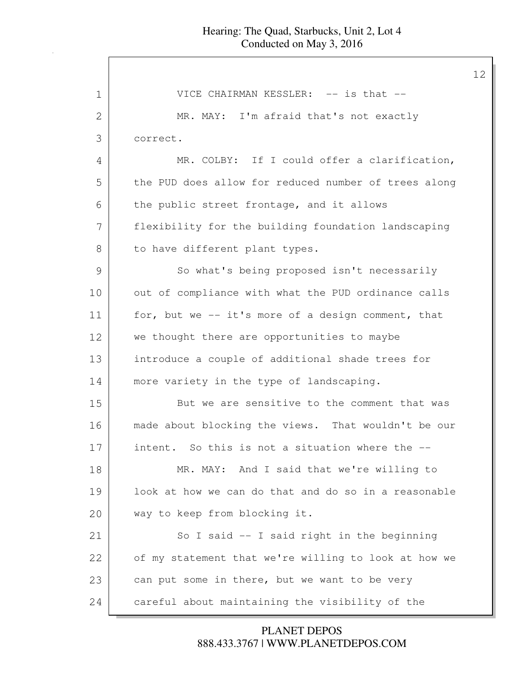| 1            | VICE CHAIRMAN KESSLER: -- is that --                 |
|--------------|------------------------------------------------------|
| $\mathbf{2}$ | MR. MAY: I'm afraid that's not exactly               |
| 3            | correct.                                             |
| 4            | MR. COLBY: If I could offer a clarification,         |
| 5            | the PUD does allow for reduced number of trees along |
| 6            | the public street frontage, and it allows            |
| 7            | flexibility for the building foundation landscaping  |
| 8            | to have different plant types.                       |
| 9            | So what's being proposed isn't necessarily           |
| 10           | out of compliance with what the PUD ordinance calls  |
| 11           | for, but we -- it's more of a design comment, that   |
| 12           | we thought there are opportunities to maybe          |
| 13           | introduce a couple of additional shade trees for     |
| 14           | more variety in the type of landscaping.             |
| 15           | But we are sensitive to the comment that was         |
| 16           | made about blocking the views. That wouldn't be our  |
| 17           | intent. So this is not a situation where the --      |
| 18           | MR. MAY: And I said that we're willing to            |
| 19           | look at how we can do that and do so in a reasonable |
| 20           | way to keep from blocking it.                        |
| 21           | So I said $-$ I said right in the beginning          |
| 22           | of my statement that we're willing to look at how we |
| 23           | can put some in there, but we want to be very        |
| 24           | careful about maintaining the visibility of the      |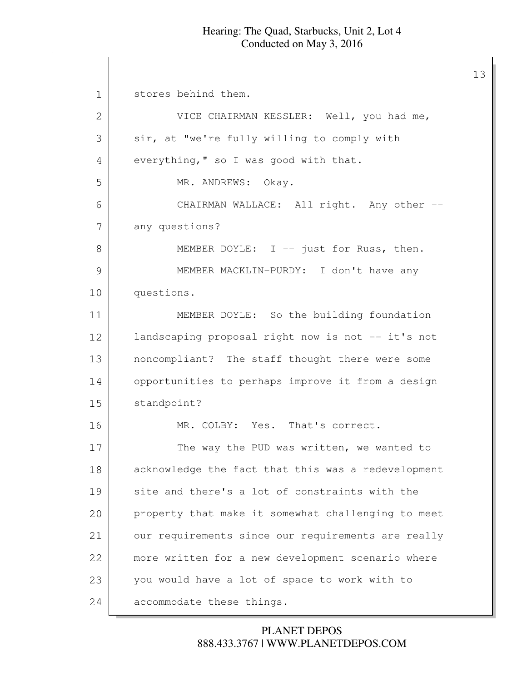13

1 stores behind them. 2 VICE CHAIRMAN KESSLER: Well, you had me, 3 sir, at "we're fully willing to comply with 4 everything," so I was good with that. 5 MR. ANDREWS: Okay. 6 CHAIRMAN WALLACE: All right. Any other -- 7 any questions? 8 MEMBER DOYLE: I -- just for Russ, then. 9 MEMBER MACKLIN-PURDY: I don't have any 10 questions. 11 MEMBER DOYLE: So the building foundation 12 landscaping proposal right now is not -- it's not 13 | noncompliant? The staff thought there were some 14 opportunities to perhaps improve it from a design 15 standpoint? 16 MR. COLBY: Yes. That's correct. 17 The way the PUD was written, we wanted to 18 acknowledge the fact that this was a redevelopment 19 site and there's a lot of constraints with the 20 property that make it somewhat challenging to meet 21 our requirements since our requirements are really 22 more written for a new development scenario where 23 you would have a lot of space to work with to 24 accommodate these things.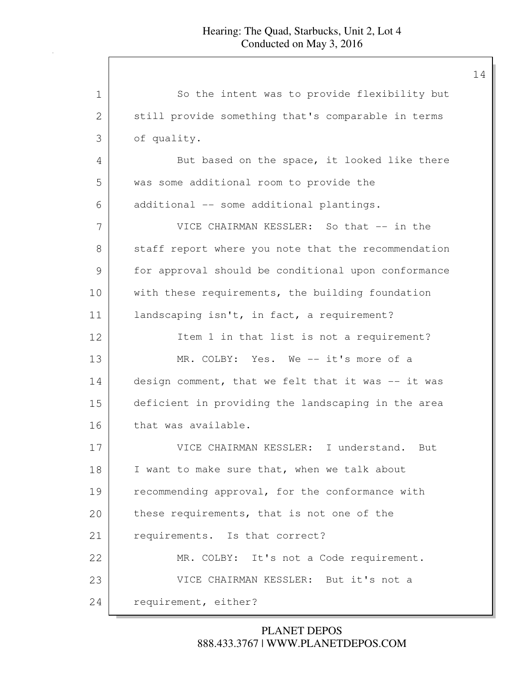| $\mathbf 1$ | So the intent was to provide flexibility but        |
|-------------|-----------------------------------------------------|
| 2           | still provide something that's comparable in terms  |
| 3           | of quality.                                         |
| 4           | But based on the space, it looked like there        |
| 5           | was some additional room to provide the             |
| 6           | additional -- some additional plantings.            |
| 7           | VICE CHAIRMAN KESSLER: So that -- in the            |
| 8           | staff report where you note that the recommendation |
| 9           | for approval should be conditional upon conformance |
| 10          | with these requirements, the building foundation    |
| 11          | landscaping isn't, in fact, a requirement?          |
| 12          | Item 1 in that list is not a requirement?           |
| 13          | MR. COLBY: Yes. We -- it's more of a                |
| 14          | design comment, that we felt that it was -- it was  |
| 15          | deficient in providing the landscaping in the area  |
| 16          | that was available.                                 |
| 17          | VICE CHAIRMAN KESSLER: I understand.<br>But         |
| 18          | I want to make sure that, when we talk about        |
| 19          | recommending approval, for the conformance with     |
| 20          | these requirements, that is not one of the          |
| 21          | requirements. Is that correct?                      |
| 22          | MR. COLBY: It's not a Code requirement.             |
| 23          | VICE CHAIRMAN KESSLER: But it's not a               |
| 24          | requirement, either?                                |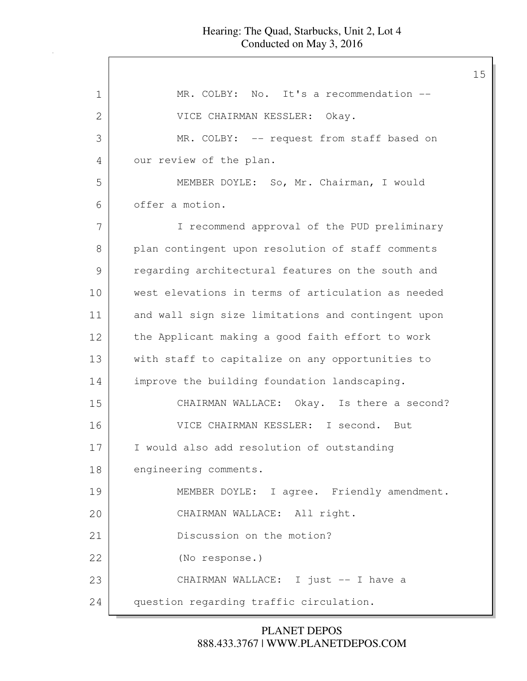1 MR. COLBY: No. It's a recommendation -- VICE CHAIRMAN KESSLER: Okay. MR. COLBY: -- request from staff based on 4 our review of the plan. MEMBER DOYLE: So, Mr. Chairman, I would offer a motion. I recommend approval of the PUD preliminary plan contingent upon resolution of staff comments regarding architectural features on the south and west elevations in terms of articulation as needed and wall sign size limitations and contingent upon 12 the Applicant making a good faith effort to work 13 with staff to capitalize on any opportunities to improve the building foundation landscaping. CHAIRMAN WALLACE: Okay. Is there a second? VICE CHAIRMAN KESSLER: I second. But I would also add resolution of outstanding 18 engineering comments. 19 MEMBER DOYLE: I agree. Friendly amendment. CHAIRMAN WALLACE: All right. 21 Discussion on the motion? (No response.) 23 CHAIRMAN WALLACE: I just -- I have a 24 question regarding traffic circulation.

> 888.433.3767 | WWW.PLANETDEPOS.COM PLANET DEPOS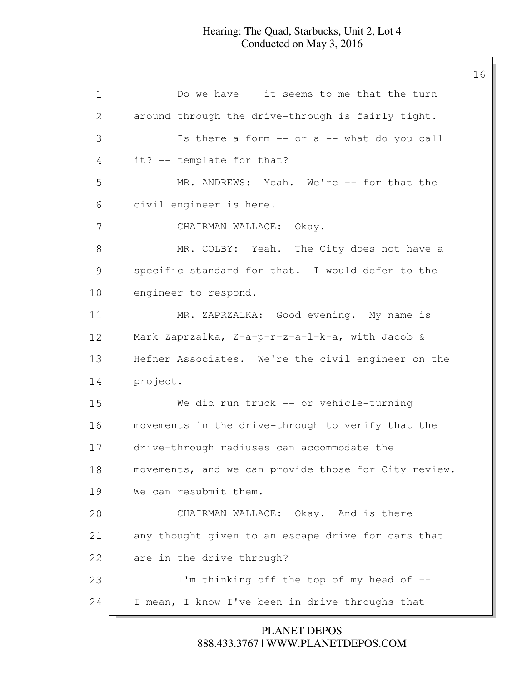1 Do we have -- it seems to me that the turn 2 around through the drive-through is fairly tight. 3 Is there a form -- or a -- what do you call 4 it? -- template for that? 5 MR. ANDREWS: Yeah. We're -- for that the 6 civil engineer is here. 7 CHAIRMAN WALLACE: Okay. 8 MR. COLBY: Yeah. The City does not have a 9 specific standard for that. I would defer to the 10 engineer to respond. 11 MR. ZAPRZALKA: Good evening. My name is 12 Mark Zaprzalka, Z-a-p-r-z-a-l-k-a, with Jacob & 13 Hefner Associates. We're the civil engineer on the 14 project. 15 We did run truck -- or vehicle-turning 16 movements in the drive-through to verify that the 17 drive-through radiuses can accommodate the 18 | movements, and we can provide those for City review. 19 We can resubmit them. 20 CHAIRMAN WALLACE: Okay. And is there 21 any thought given to an escape drive for cars that 22 are in the drive-through? 23 I'm thinking off the top of my head of --24 I mean, I know I've been in drive-throughs that

> 888.433.3767 | WWW.PLANETDEPOS.COM PLANET DEPOS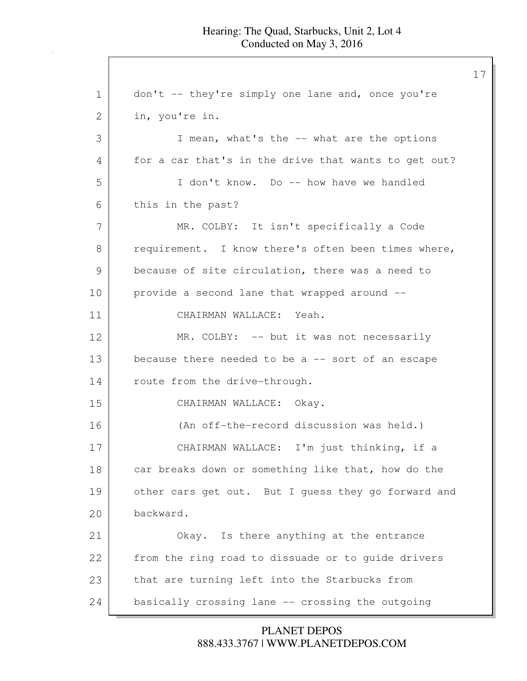1 don't -- they're simply one lane and, once you're 2 in, you're in. 3 I mean, what's the -- what are the options 4 for a car that's in the drive that wants to get out? 5 I don't know. Do -- how have we handled 6 this in the past? 7 MR. COLBY: It isn't specifically a Code 8 requirement. I know there's often been times where, 9 because of site circulation, there was a need to 10 provide a second lane that wrapped around --11 CHAIRMAN WALLACE: Yeah. 12 MR. COLBY: -- but it was not necessarily 13 because there needed to be a -- sort of an escape 14 route from the drive-through. 15 CHAIRMAN WALLACE: Okay. 16 (An off-the-record discussion was held.) 17 CHAIRMAN WALLACE: I'm just thinking, if a 18 car breaks down or something like that, how do the 19 other cars get out. But I guess they go forward and 20 backward. 21 Okay. Is there anything at the entrance 22 from the ring road to dissuade or to guide drivers 23 that are turning left into the Starbucks from 24 basically crossing lane -- crossing the outgoing

> 888.433.3767 | WWW.PLANETDEPOS.COM PLANET DEPOS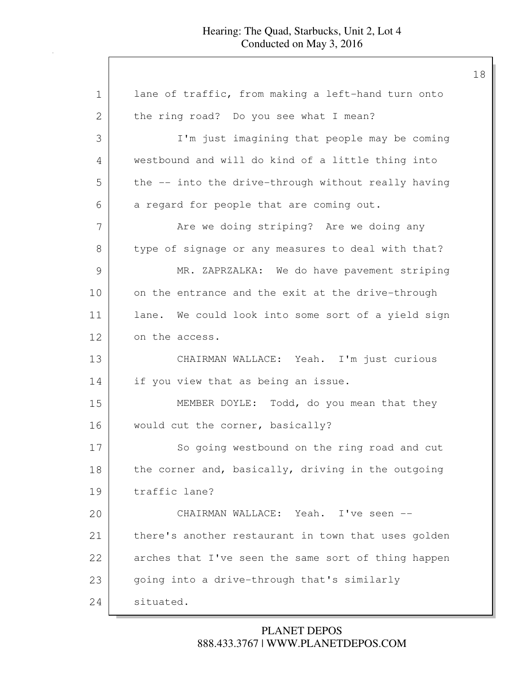| 1  | lane of traffic, from making a left-hand turn onto  |
|----|-----------------------------------------------------|
| 2  | the ring road? Do you see what I mean?              |
| 3  | I'm just imagining that people may be coming        |
| 4  | westbound and will do kind of a little thing into   |
| 5  | the -- into the drive-through without really having |
| 6  | a regard for people that are coming out.            |
| 7  | Are we doing striping? Are we doing any             |
| 8  | type of signage or any measures to deal with that?  |
| 9  | MR. ZAPRZALKA: We do have pavement striping         |
| 10 | on the entrance and the exit at the drive-through   |
| 11 | lane. We could look into some sort of a yield sign  |
| 12 | on the access.                                      |
| 13 | CHAIRMAN WALLACE: Yeah. I'm just curious            |
| 14 | if you view that as being an issue.                 |
| 15 | MEMBER DOYLE: Todd, do you mean that they           |
| 16 | would cut the corner, basically?                    |
| 17 | So going westbound on the ring road and cut         |
| 18 | the corner and, basically, driving in the outgoing  |
| 19 | traffic lane?                                       |
| 20 | CHAIRMAN WALLACE: Yeah. I've seen --                |
| 21 | there's another restaurant in town that uses golden |
| 22 | arches that I've seen the same sort of thing happen |
| 23 | going into a drive-through that's similarly         |
| 24 | situated.                                           |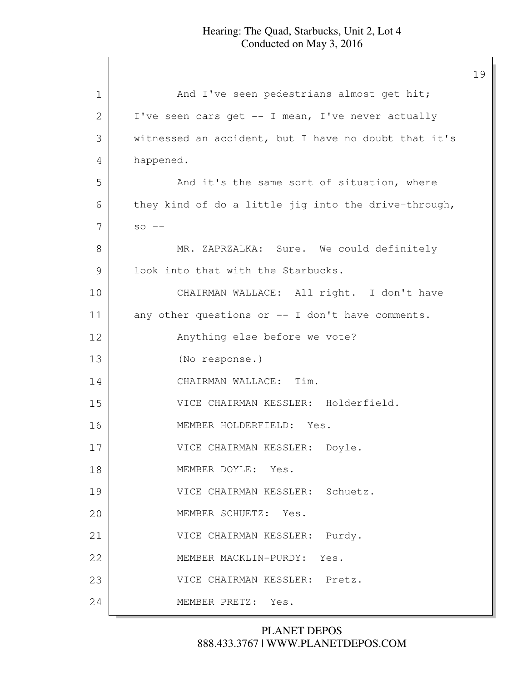| 1             | And I've seen pedestrians almost get hit;            |
|---------------|------------------------------------------------------|
| 2             | I've seen cars get -- I mean, I've never actually    |
| 3             | witnessed an accident, but I have no doubt that it's |
| 4             | happened.                                            |
| 5             | And it's the same sort of situation, where           |
| 6             | they kind of do a little jig into the drive-through, |
| 7             | $SO$ $--$                                            |
| 8             | MR. ZAPRZALKA: Sure. We could definitely             |
| $\mathcal{G}$ | look into that with the Starbucks.                   |
| 10            | CHAIRMAN WALLACE: All right. I don't have            |
| 11            | any other questions or -- I don't have comments.     |
| 12            | Anything else before we vote?                        |
| 13            | (No response.)                                       |
| 14            | CHAIRMAN WALLACE: Tim.                               |
| 15            | VICE CHAIRMAN KESSLER: Holderfield.                  |
| 16            | MEMBER HOLDERFIELD: Yes.                             |
| 17            | VICE CHAIRMAN KESSLER: Doyle.                        |
| 18            | MEMBER DOYLE: Yes.                                   |
| 19            | VICE CHAIRMAN KESSLER: Schuetz.                      |
| 20            | MEMBER SCHUETZ: Yes.                                 |
| 21            | VICE CHAIRMAN KESSLER: Purdy.                        |
| 22            | MEMBER MACKLIN-PURDY:<br>Yes.                        |
| 23            | VICE CHAIRMAN KESSLER: Pretz.                        |
| 24            | MEMBER PRETZ: Yes.                                   |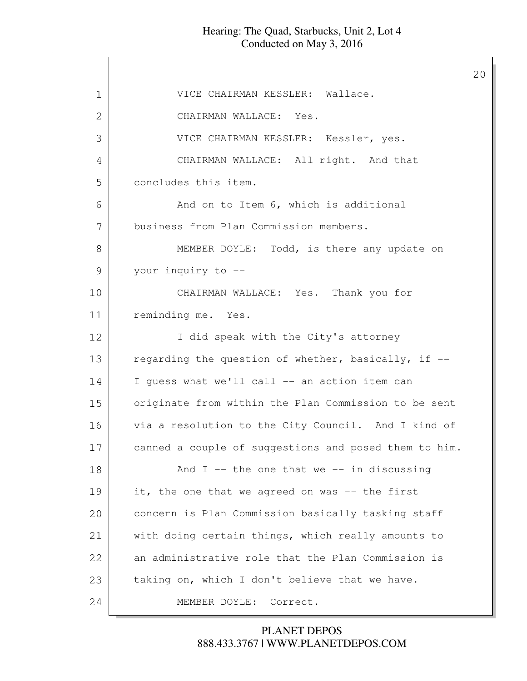$\overline{\phantom{a}}$ 

| 1  | VICE CHAIRMAN KESSLER: Wallace.                       |
|----|-------------------------------------------------------|
| 2  | CHAIRMAN WALLACE: Yes.                                |
| 3  | VICE CHAIRMAN KESSLER: Kessler, yes.                  |
| 4  | CHAIRMAN WALLACE: All right. And that                 |
| 5  | concludes this item.                                  |
| 6  | And on to Item 6, which is additional                 |
| 7  | business from Plan Commission members.                |
| 8  | MEMBER DOYLE: Todd, is there any update on            |
| 9  | your inquiry to --                                    |
| 10 | CHAIRMAN WALLACE: Yes. Thank you for                  |
| 11 | reminding me. Yes.                                    |
| 12 | I did speak with the City's attorney                  |
| 13 | regarding the question of whether, basically, if --   |
| 14 | I guess what we'll call -- an action item can         |
| 15 | originate from within the Plan Commission to be sent  |
| 16 | via a resolution to the City Council. And I kind of   |
| 17 | canned a couple of suggestions and posed them to him. |
| 18 | And $I$ -- the one that we -- in discussing           |
| 19 | it, the one that we agreed on was -- the first        |
| 20 | concern is Plan Commission basically tasking staff    |
| 21 | with doing certain things, which really amounts to    |
| 22 | an administrative role that the Plan Commission is    |
| 23 | taking on, which I don't believe that we have.        |
| 24 | MEMBER DOYLE: Correct.                                |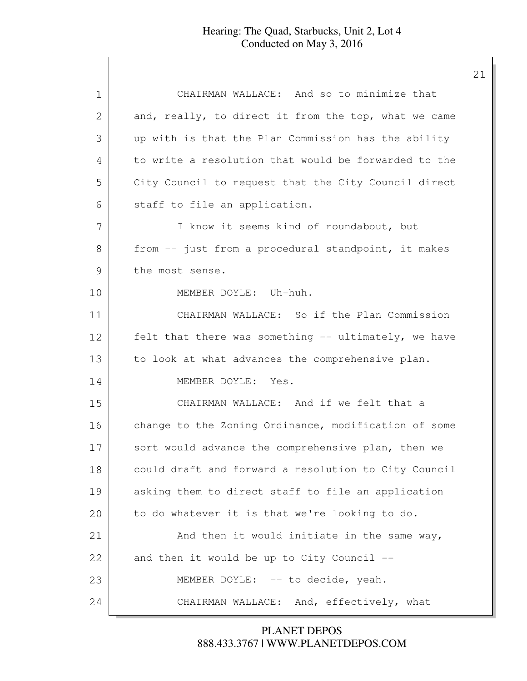| 1             | CHAIRMAN WALLACE: And so to minimize that            |
|---------------|------------------------------------------------------|
| 2             | and, really, to direct it from the top, what we came |
| 3             | up with is that the Plan Commission has the ability  |
| 4             | to write a resolution that would be forwarded to the |
| 5             | City Council to request that the City Council direct |
| 6             | staff to file an application.                        |
| 7             | I know it seems kind of roundabout, but              |
| 8             | from -- just from a procedural standpoint, it makes  |
| $\mathcal{G}$ | the most sense.                                      |
| 10            | MEMBER DOYLE: Uh-huh.                                |
| 11            | CHAIRMAN WALLACE: So if the Plan Commission          |
| 12            | felt that there was something -- ultimately, we have |
| 13            | to look at what advances the comprehensive plan.     |
| 14            | MEMBER DOYLE: Yes.                                   |
| 15            | CHAIRMAN WALLACE: And if we felt that a              |
| 16            | change to the Zoning Ordinance, modification of some |
| 17            | sort would advance the comprehensive plan, then we   |
| 18            | could draft and forward a resolution to City Council |
| 19            | asking them to direct staff to file an application   |
| 20            | to do whatever it is that we're looking to do.       |
| 21            | And then it would initiate in the same way,          |
| 22            | and then it would be up to City Council --           |
| 23            | MEMBER DOYLE: -- to decide, yeah.                    |
| 24            | CHAIRMAN WALLACE: And, effectively, what             |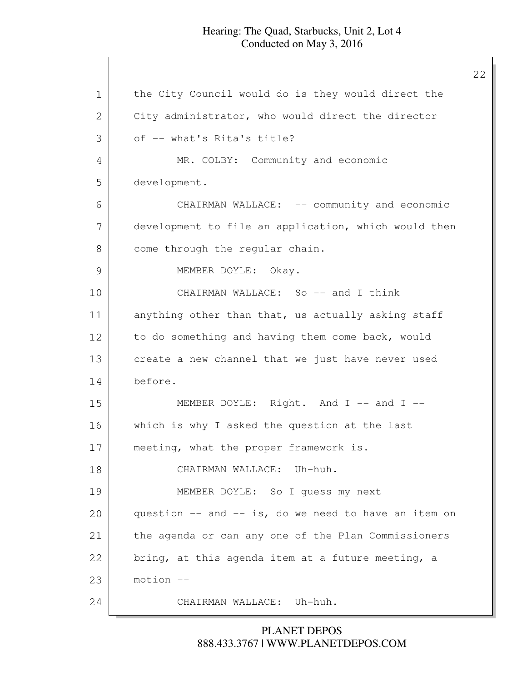1 | the City Council would do is they would direct the 2 City administrator, who would direct the director 3 of -- what's Rita's title? 4 MR. COLBY: Community and economic 5 development. 6 CHAIRMAN WALLACE: -- community and economic 7 development to file an application, which would then 8 come through the regular chain. 9 MEMBER DOYLE: Okay. 10 CHAIRMAN WALLACE: So -- and I think 11 anything other than that, us actually asking staff 12 to do something and having them come back, would 13 create a new channel that we just have never used 14 before. 15 MEMBER DOYLE: Right. And I -- and I --16 which is why I asked the question at the last 17 meeting, what the proper framework is. 18 CHAIRMAN WALLACE: Uh-huh. 19 MEMBER DOYLE: So I guess my next 20 question -- and -- is, do we need to have an item on 21 the agenda or can any one of the Plan Commissioners  $22$  | bring, at this agenda item at a future meeting, a 23 motion -- 24 CHAIRMAN WALLACE: Uh-huh.

> 888.433.3767 | WWW.PLANETDEPOS.COM PLANET DEPOS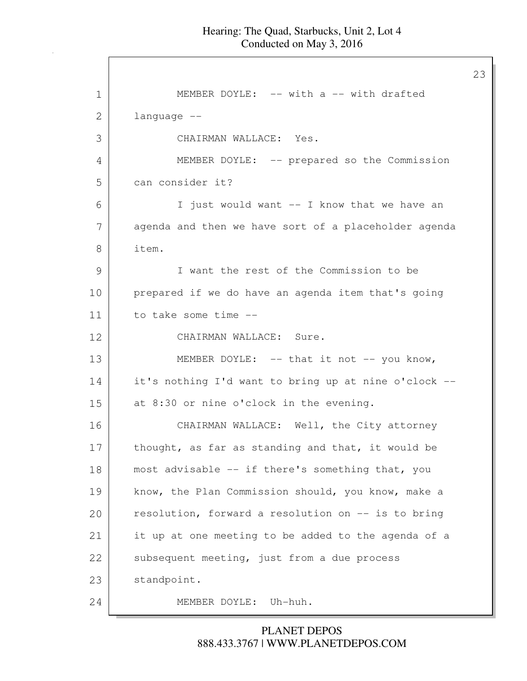23

1 **I** MEMBER DOYLE: -- with a -- with drafted 2 language -- 3 CHAIRMAN WALLACE: Yes. 4 MEMBER DOYLE: -- prepared so the Commission 5 can consider it? 6 I just would want -- I know that we have an 7 agenda and then we have sort of a placeholder agenda 8 item. 9 I want the rest of the Commission to be 10 prepared if we do have an agenda item that's going 11 to take some time --12 CHAIRMAN WALLACE: Sure. 13 MEMBER DOYLE: -- that it not -- you know, 14 it's nothing I'd want to bring up at nine o'clock -- 15 at 8:30 or nine o'clock in the evening. 16 CHAIRMAN WALLACE: Well, the City attorney 17 thought, as far as standing and that, it would be 18 most advisable -- if there's something that, you 19 know, the Plan Commission should, you know, make a 20 resolution, forward a resolution on -- is to bring 21 it up at one meeting to be added to the agenda of a 22 subsequent meeting, just from a due process 23 standpoint. 24 MEMBER DOYLE: Uh-huh.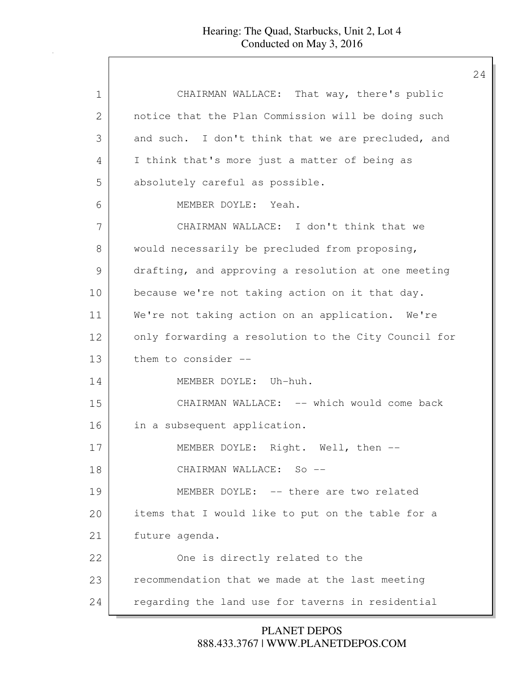| 1  | CHAIRMAN WALLACE: That way, there's public           |
|----|------------------------------------------------------|
| 2  | notice that the Plan Commission will be doing such   |
| 3  | and such. I don't think that we are precluded, and   |
| 4  | I think that's more just a matter of being as        |
| 5  | absolutely careful as possible.                      |
| 6  | MEMBER DOYLE: Yeah.                                  |
| 7  | CHAIRMAN WALLACE: I don't think that we              |
| 8  | would necessarily be precluded from proposing,       |
| 9  | drafting, and approving a resolution at one meeting  |
| 10 | because we're not taking action on it that day.      |
| 11 | We're not taking action on an application. We're     |
| 12 | only forwarding a resolution to the City Council for |
| 13 | them to consider --                                  |
| 14 | MEMBER DOYLE: Uh-huh.                                |
| 15 | CHAIRMAN WALLACE: -- which would come back           |
| 16 | in a subsequent application.                         |
| 17 | MEMBER DOYLE: Right. Well, then --                   |
| 18 | CHAIRMAN WALLACE: So --                              |
| 19 | MEMBER DOYLE: -- there are two related               |
| 20 | items that I would like to put on the table for a    |
| 21 | future agenda.                                       |
| 22 | One is directly related to the                       |
| 23 | recommendation that we made at the last meeting      |
| 24 | regarding the land use for taverns in residential    |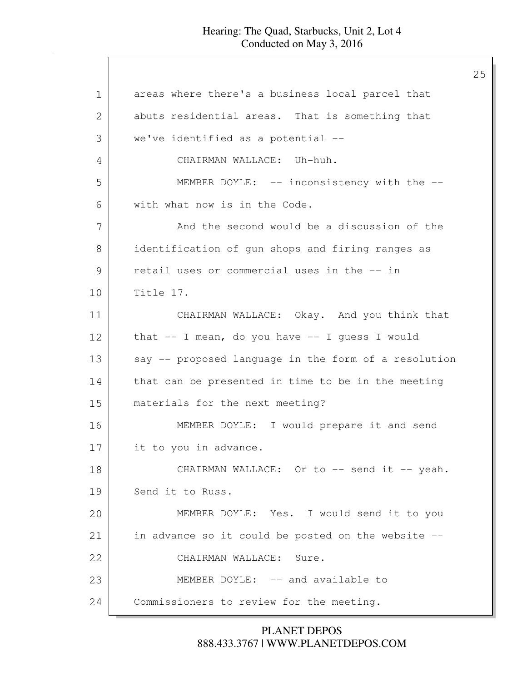1 areas where there's a business local parcel that 2 abuts residential areas. That is something that 3 we've identified as a potential -- 4 CHAIRMAN WALLACE: Uh-huh. 5 MEMBER DOYLE: -- inconsistency with the --6 with what now is in the Code. 7 And the second would be a discussion of the 8 identification of gun shops and firing ranges as 9 retail uses or commercial uses in the -- in 10 Title 17. 11 CHAIRMAN WALLACE: Okay. And you think that 12 that -- I mean, do you have -- I quess I would 13 say -- proposed language in the form of a resolution 14 that can be presented in time to be in the meeting 15 materials for the next meeting? 16 MEMBER DOYLE: I would prepare it and send 17 it to you in advance. 18 CHAIRMAN WALLACE: Or to -- send it -- yeah. 19 Send it to Russ. 20 MEMBER DOYLE: Yes. I would send it to you 21 in advance so it could be posted on the website --22 CHAIRMAN WALLACE: Sure. 23 MEMBER DOYLE: -- and available to 24 Commissioners to review for the meeting.

> 888.433.3767 | WWW.PLANETDEPOS.COM PLANET DEPOS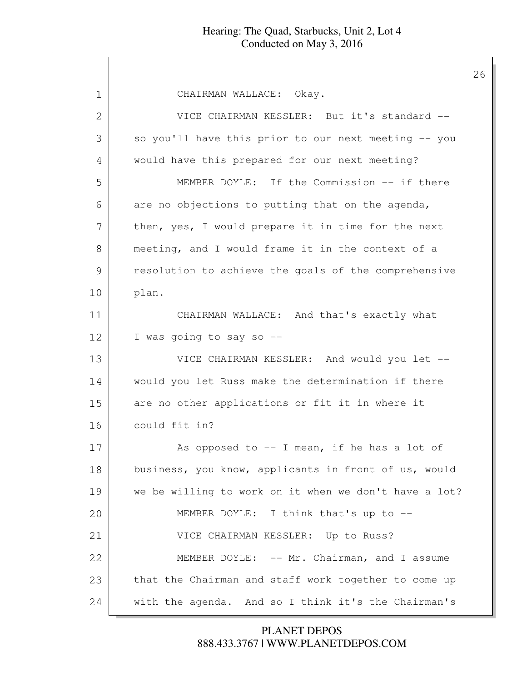| 1  | CHAIRMAN WALLACE: Okay.                               |
|----|-------------------------------------------------------|
| 2  | VICE CHAIRMAN KESSLER: But it's standard --           |
| 3  | so you'll have this prior to our next meeting -- you  |
| 4  | would have this prepared for our next meeting?        |
| 5  | MEMBER DOYLE: If the Commission -- if there           |
| 6  | are no objections to putting that on the agenda,      |
| 7  | then, yes, I would prepare it in time for the next    |
| 8  | meeting, and I would frame it in the context of a     |
| 9  | resolution to achieve the goals of the comprehensive  |
| 10 | plan.                                                 |
| 11 | CHAIRMAN WALLACE: And that's exactly what             |
| 12 | I was going to say so --                              |
| 13 | VICE CHAIRMAN KESSLER: And would you let --           |
| 14 | would you let Russ make the determination if there    |
| 15 | are no other applications or fit it in where it       |
| 16 | could fit in?                                         |
| 17 | As opposed to $-$ - I mean, if he has a lot of        |
| 18 | business, you know, applicants in front of us, would  |
| 19 | we be willing to work on it when we don't have a lot? |
| 20 | MEMBER DOYLE: I think that's up to --                 |
| 21 | VICE CHAIRMAN KESSLER: Up to Russ?                    |
| 22 | MEMBER DOYLE: -- Mr. Chairman, and I assume           |
| 23 | that the Chairman and staff work together to come up  |
| 24 | with the agenda. And so I think it's the Chairman's   |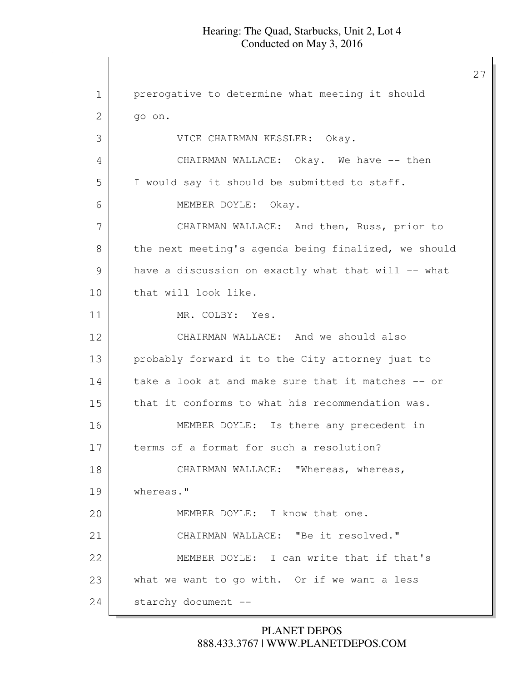27

1 | prerogative to determine what meeting it should 2 go on. 3 VICE CHAIRMAN KESSLER: Okay. 4 CHAIRMAN WALLACE: Okay. We have -- then 5 I would say it should be submitted to staff. 6 MEMBER DOYLE: Okay. 7 | CHAIRMAN WALLACE: And then, Russ, prior to 8 the next meeting's agenda being finalized, we should 9 have a discussion on exactly what that will -- what 10 that will look like. 11 MR. COLBY: Yes. 12 CHAIRMAN WALLACE: And we should also 13 probably forward it to the City attorney just to 14 | take a look at and make sure that it matches -- or 15 that it conforms to what his recommendation was. 16 MEMBER DOYLE: Is there any precedent in 17 terms of a format for such a resolution? 18 CHAIRMAN WALLACE: "Whereas, whereas, 19 whereas." 20 MEMBER DOYLE: I know that one. 21 | CHAIRMAN WALLACE: "Be it resolved." 22 MEMBER DOYLE: I can write that if that's 23 what we want to go with. Or if we want a less 24 starchy document --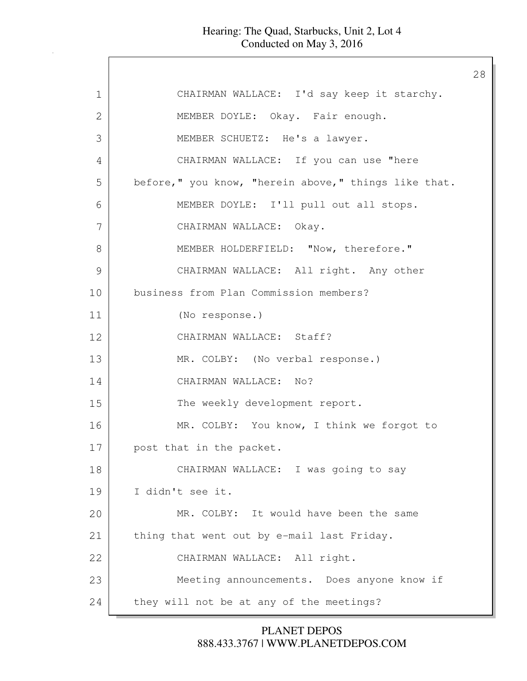$\mathsf{l}$ 

| $\mathbf 1$ | CHAIRMAN WALLACE: I'd say keep it starchy.           |
|-------------|------------------------------------------------------|
| 2           | MEMBER DOYLE: Okay. Fair enough.                     |
| 3           | MEMBER SCHUETZ: He's a lawyer.                       |
| 4           | CHAIRMAN WALLACE: If you can use "here               |
| 5           | before," you know, "herein above," things like that. |
| 6           | MEMBER DOYLE: I'll pull out all stops.               |
| 7           | CHAIRMAN WALLACE: Okay.                              |
| 8           | MEMBER HOLDERFIELD: "Now, therefore."                |
| 9           | CHAIRMAN WALLACE: All right. Any other               |
| 10          | business from Plan Commission members?               |
| 11          | (No response.)                                       |
| 12          | CHAIRMAN WALLACE: Staff?                             |
| 13          | MR. COLBY: (No verbal response.)                     |
| 14          | CHAIRMAN WALLACE: No?                                |
| 15          | The weekly development report.                       |
| 16          | MR. COLBY: You know, I think we forgot to            |
| 17          | post that in the packet.                             |
| 18          | CHAIRMAN WALLACE: I was going to say                 |
| 19          | I didn't see it.                                     |
| 20          | MR. COLBY: It would have been the same               |
| 21          | thing that went out by e-mail last Friday.           |
| 22          | CHAIRMAN WALLACE: All right.                         |
| 23          | Meeting announcements. Does anyone know if           |
| 24          | they will not be at any of the meetings?             |

888.433.3767 | WWW.PLANETDEPOS.COM PLANET DEPOS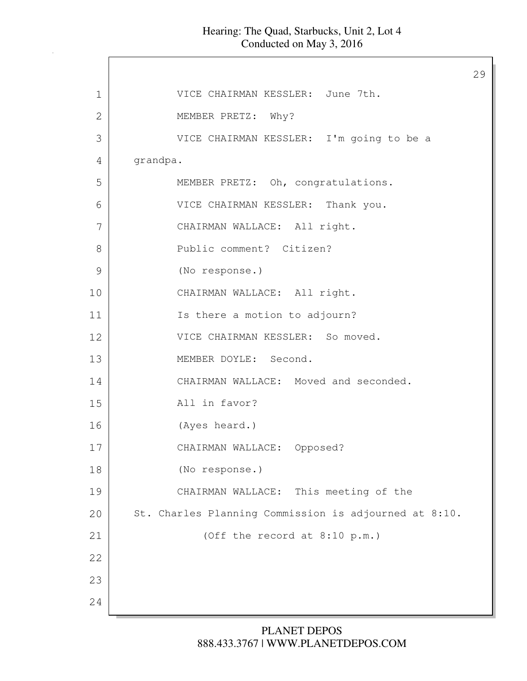$\mathsf{l}$ 

|               |                                                       | 29 |
|---------------|-------------------------------------------------------|----|
| $\mathbf 1$   | VICE CHAIRMAN KESSLER: June 7th.                      |    |
| $\mathbf{2}$  | MEMBER PRETZ: Why?                                    |    |
| 3             | VICE CHAIRMAN KESSLER: I'm going to be a              |    |
| 4             | grandpa.                                              |    |
| 5             | MEMBER PRETZ: Oh, congratulations.                    |    |
| 6             | VICE CHAIRMAN KESSLER: Thank you.                     |    |
| 7             | CHAIRMAN WALLACE: All right.                          |    |
| 8             | Public comment? Citizen?                              |    |
| $\mathcal{G}$ | (No response.)                                        |    |
| 10            | CHAIRMAN WALLACE: All right.                          |    |
| 11            | Is there a motion to adjourn?                         |    |
| 12            | VICE CHAIRMAN KESSLER: So moved.                      |    |
| 13            | MEMBER DOYLE: Second.                                 |    |
| 14            | CHAIRMAN WALLACE: Moved and seconded.                 |    |
| 15            | All in favor?                                         |    |
| 16            | (Ayes heard.)                                         |    |
| 17            | CHAIRMAN WALLACE: Opposed?                            |    |
| 18            | (No response.)                                        |    |
| 19            | CHAIRMAN WALLACE: This meeting of the                 |    |
| 20            | St. Charles Planning Commission is adjourned at 8:10. |    |
| 21            | (Off the record at 8:10 p.m.)                         |    |
| 22            |                                                       |    |
| 23            |                                                       |    |
| 24            |                                                       |    |